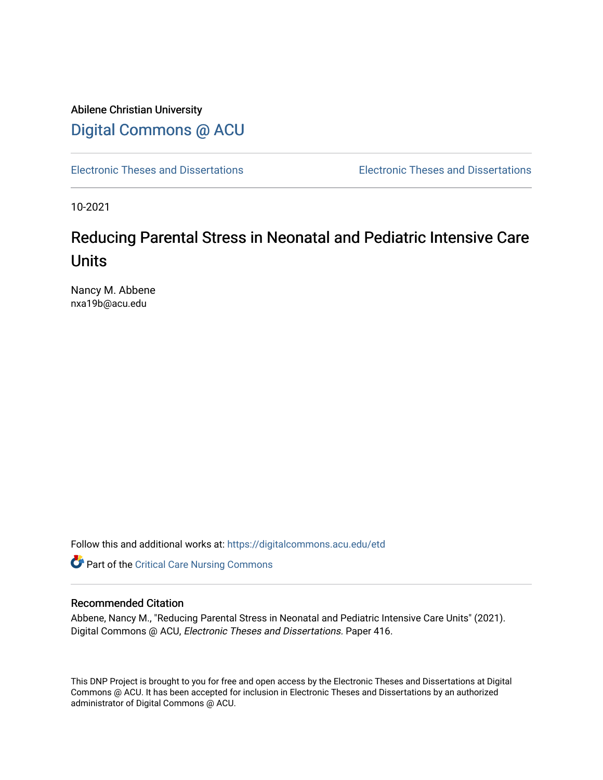Abilene Christian University [Digital Commons @ ACU](https://digitalcommons.acu.edu/)

[Electronic Theses and Dissertations](https://digitalcommons.acu.edu/etd) [Electronic Theses and Dissertations](https://digitalcommons.acu.edu/graduate_works) 

10-2021

# Reducing Parental Stress in Neonatal and Pediatric Intensive Care Units

Nancy M. Abbene nxa19b@acu.edu

Follow this and additional works at: [https://digitalcommons.acu.edu/etd](https://digitalcommons.acu.edu/etd?utm_source=digitalcommons.acu.edu%2Fetd%2F416&utm_medium=PDF&utm_campaign=PDFCoverPages) 

**C** Part of the [Critical Care Nursing Commons](http://network.bepress.com/hgg/discipline/727?utm_source=digitalcommons.acu.edu%2Fetd%2F416&utm_medium=PDF&utm_campaign=PDFCoverPages)

## Recommended Citation

Abbene, Nancy M., "Reducing Parental Stress in Neonatal and Pediatric Intensive Care Units" (2021). Digital Commons @ ACU, Electronic Theses and Dissertations. Paper 416.

This DNP Project is brought to you for free and open access by the Electronic Theses and Dissertations at Digital Commons @ ACU. It has been accepted for inclusion in Electronic Theses and Dissertations by an authorized administrator of Digital Commons @ ACU.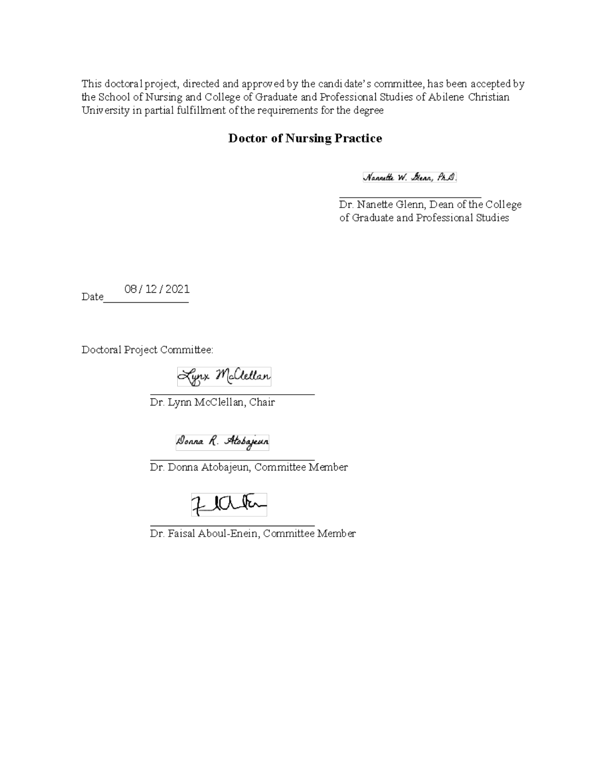This doctoral project, directed and approved by the candidate's committee, has been accepted by the School of Nursing and College of Graduate and Professional Studies of Abilene Christian University in partial fulfillment of the requirements for the degree

## **Doctor of Nursing Practice**

Nannette W. Glenn, Ph.D.

Dr. Nanette Glenn, Dean of the College of Graduate and Professional Studies

08/12/2021 Date

Doctoral Project Committee:

Lynx Mclellan

Dr. Lynn McClellan, Chair

Donna R. Atobajeun

Dr. Donna Atobajeun, Committee Member

Zlata

Dr. Faisal Aboul-Enein, Committee Member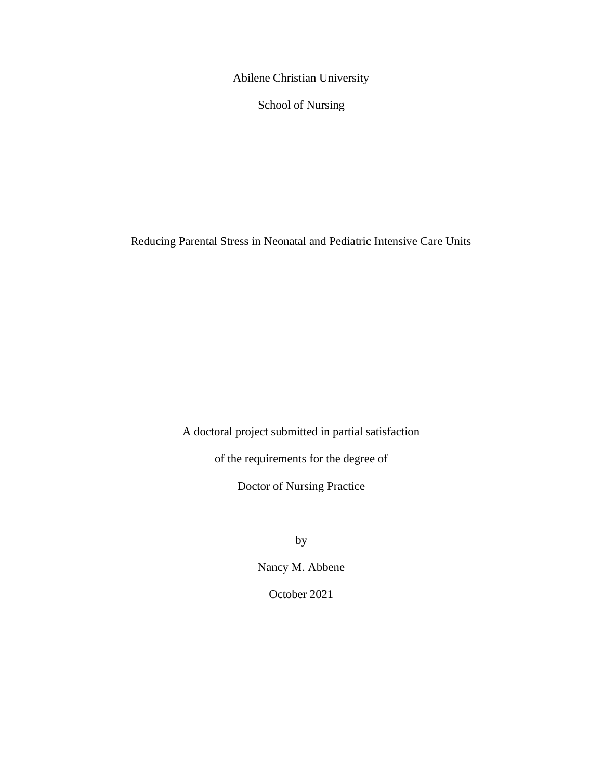Abilene Christian University

School of Nursing

Reducing Parental Stress in Neonatal and Pediatric Intensive Care Units

A doctoral project submitted in partial satisfaction

of the requirements for the degree of

Doctor of Nursing Practice

by

Nancy M. Abbene

October 2021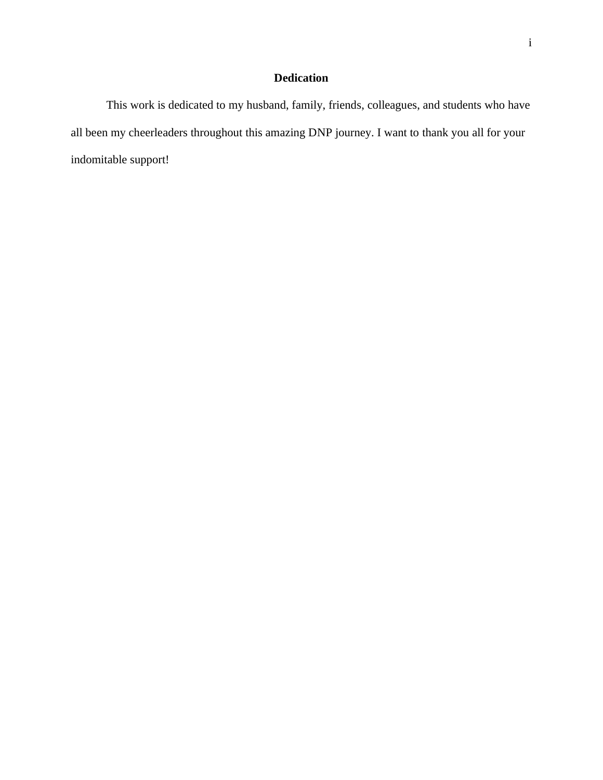## **Dedication**

This work is dedicated to my husband, family, friends, colleagues, and students who have all been my cheerleaders throughout this amazing DNP journey. I want to thank you all for your indomitable support!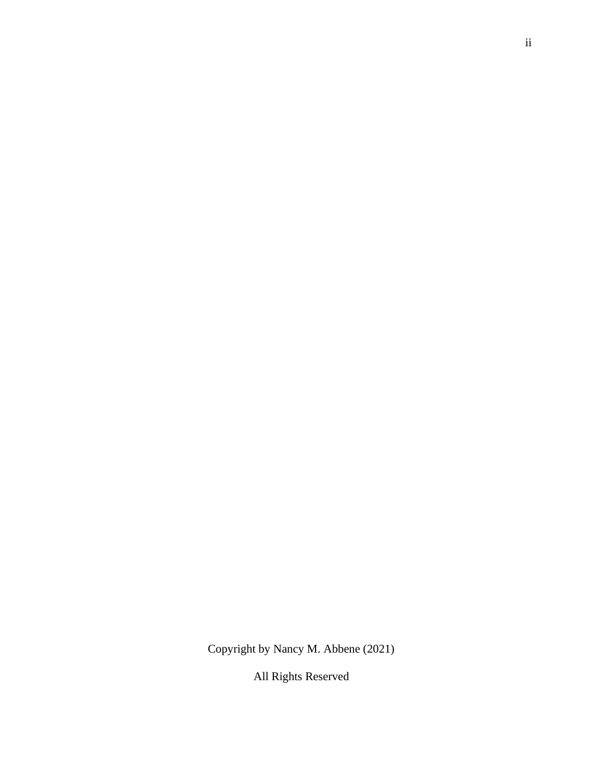Copyright by Nancy M. Abbene (2021)

All Rights Reserved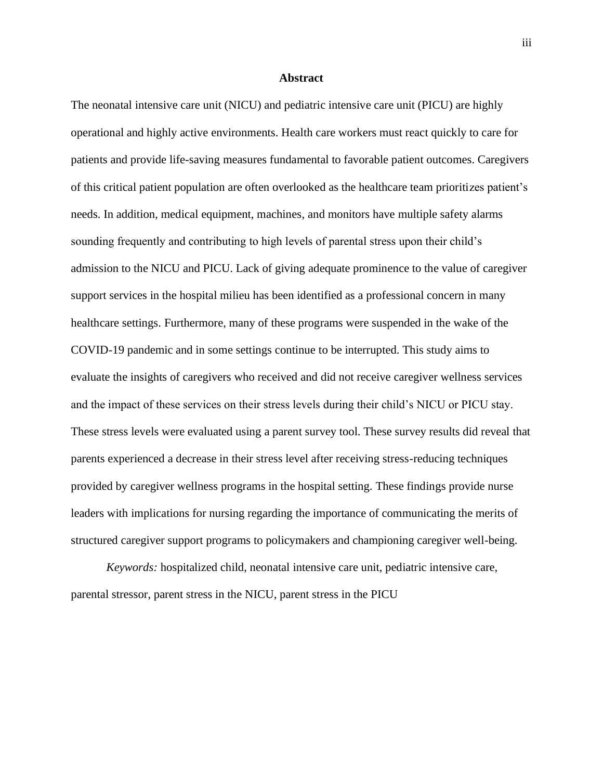### **Abstract**

The neonatal intensive care unit (NICU) and pediatric intensive care unit (PICU) are highly operational and highly active environments. Health care workers must react quickly to care for patients and provide life-saving measures fundamental to favorable patient outcomes. Caregivers of this critical patient population are often overlooked as the healthcare team prioritizes patient's needs. In addition, medical equipment, machines, and monitors have multiple safety alarms sounding frequently and contributing to high levels of parental stress upon their child's admission to the NICU and PICU. Lack of giving adequate prominence to the value of caregiver support services in the hospital milieu has been identified as a professional concern in many healthcare settings. Furthermore, many of these programs were suspended in the wake of the COVID-19 pandemic and in some settings continue to be interrupted. This study aims to evaluate the insights of caregivers who received and did not receive caregiver wellness services and the impact of these services on their stress levels during their child's NICU or PICU stay. These stress levels were evaluated using a parent survey tool. These survey results did reveal that parents experienced a decrease in their stress level after receiving stress-reducing techniques provided by caregiver wellness programs in the hospital setting. These findings provide nurse leaders with implications for nursing regarding the importance of communicating the merits of structured caregiver support programs to policymakers and championing caregiver well-being.

*Keywords:* hospitalized child, neonatal intensive care unit, pediatric intensive care, parental stressor, parent stress in the NICU, parent stress in the PICU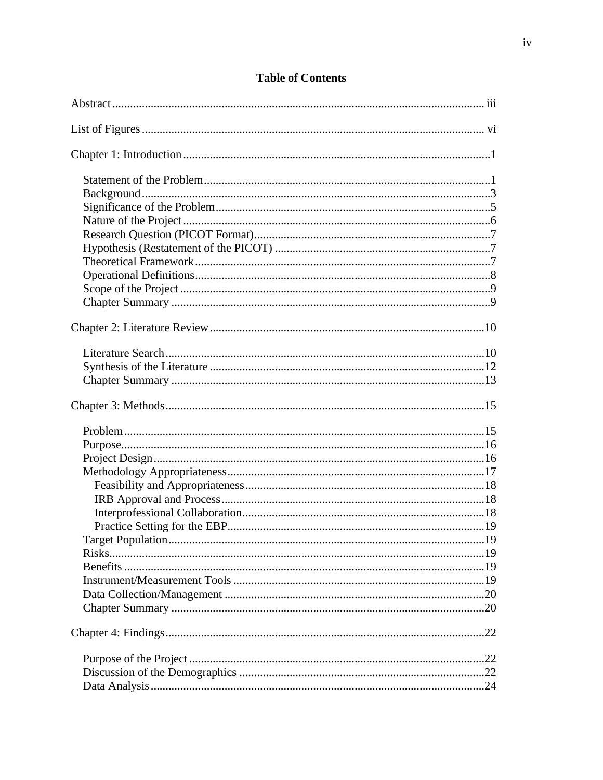## **Table of Contents**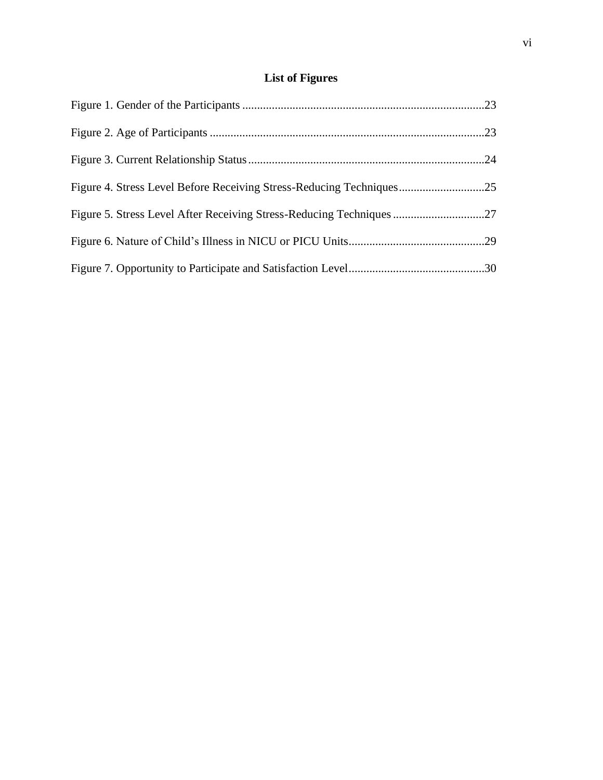# **List of Figures**

| Figure 4. Stress Level Before Receiving Stress-Reducing Techniques25 |  |
|----------------------------------------------------------------------|--|
|                                                                      |  |
|                                                                      |  |
|                                                                      |  |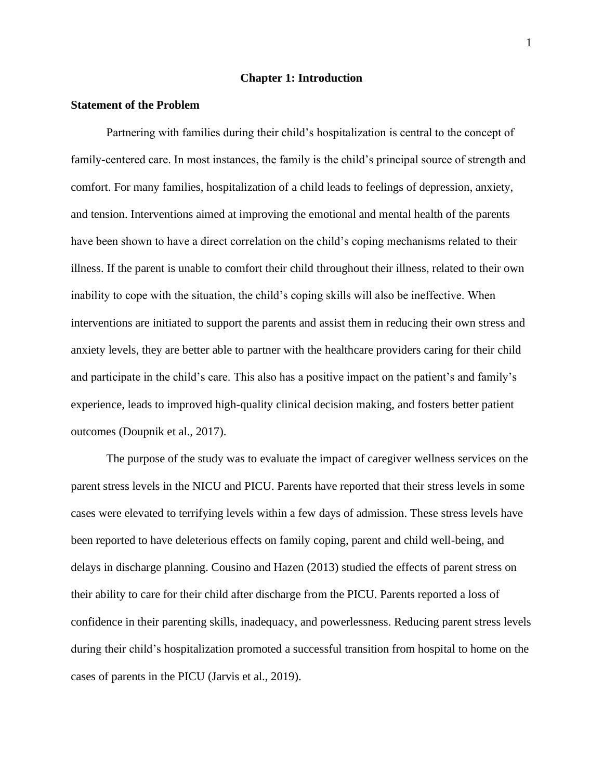## **Chapter 1: Introduction**

#### **Statement of the Problem**

Partnering with families during their child's hospitalization is central to the concept of family-centered care. In most instances, the family is the child's principal source of strength and comfort. For many families, hospitalization of a child leads to feelings of depression, anxiety, and tension. Interventions aimed at improving the emotional and mental health of the parents have been shown to have a direct correlation on the child's coping mechanisms related to their illness. If the parent is unable to comfort their child throughout their illness, related to their own inability to cope with the situation, the child's coping skills will also be ineffective. When interventions are initiated to support the parents and assist them in reducing their own stress and anxiety levels, they are better able to partner with the healthcare providers caring for their child and participate in the child's care. This also has a positive impact on the patient's and family's experience, leads to improved high-quality clinical decision making, and fosters better patient outcomes (Doupnik et al., 2017).

The purpose of the study was to evaluate the impact of caregiver wellness services on the parent stress levels in the NICU and PICU. Parents have reported that their stress levels in some cases were elevated to terrifying levels within a few days of admission. These stress levels have been reported to have deleterious effects on family coping, parent and child well-being, and delays in discharge planning. Cousino and Hazen (2013) studied the effects of parent stress on their ability to care for their child after discharge from the PICU. Parents reported a loss of confidence in their parenting skills, inadequacy, and powerlessness. Reducing parent stress levels during their child's hospitalization promoted a successful transition from hospital to home on the cases of parents in the PICU (Jarvis et al., 2019).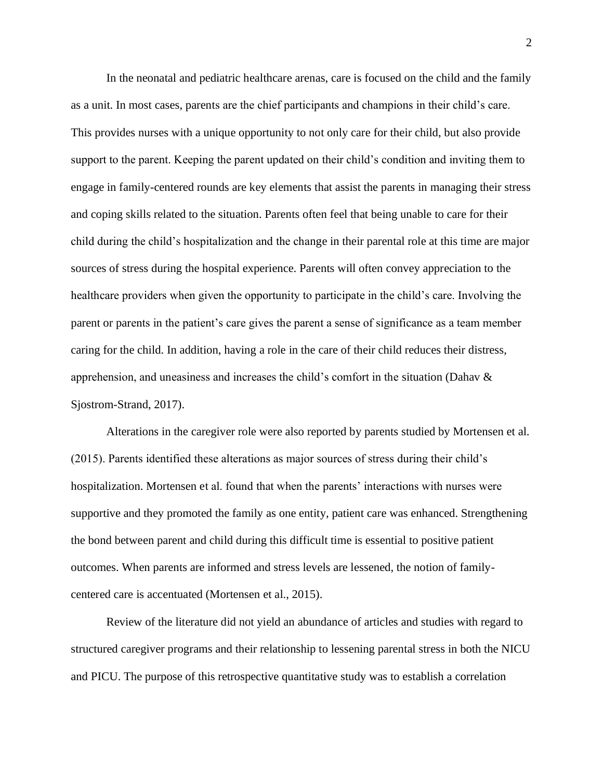In the neonatal and pediatric healthcare arenas, care is focused on the child and the family as a unit. In most cases, parents are the chief participants and champions in their child's care. This provides nurses with a unique opportunity to not only care for their child, but also provide support to the parent. Keeping the parent updated on their child's condition and inviting them to engage in family-centered rounds are key elements that assist the parents in managing their stress and coping skills related to the situation. Parents often feel that being unable to care for their child during the child's hospitalization and the change in their parental role at this time are major sources of stress during the hospital experience. Parents will often convey appreciation to the healthcare providers when given the opportunity to participate in the child's care. Involving the parent or parents in the patient's care gives the parent a sense of significance as a team member caring for the child. In addition, having a role in the care of their child reduces their distress, apprehension, and uneasiness and increases the child's comfort in the situation (Dahav & Sjostrom-Strand, 2017).

Alterations in the caregiver role were also reported by parents studied by Mortensen et al. (2015). Parents identified these alterations as major sources of stress during their child's hospitalization. Mortensen et al. found that when the parents' interactions with nurses were supportive and they promoted the family as one entity, patient care was enhanced. Strengthening the bond between parent and child during this difficult time is essential to positive patient outcomes. When parents are informed and stress levels are lessened, the notion of familycentered care is accentuated (Mortensen et al., 2015).

Review of the literature did not yield an abundance of articles and studies with regard to structured caregiver programs and their relationship to lessening parental stress in both the NICU and PICU. The purpose of this retrospective quantitative study was to establish a correlation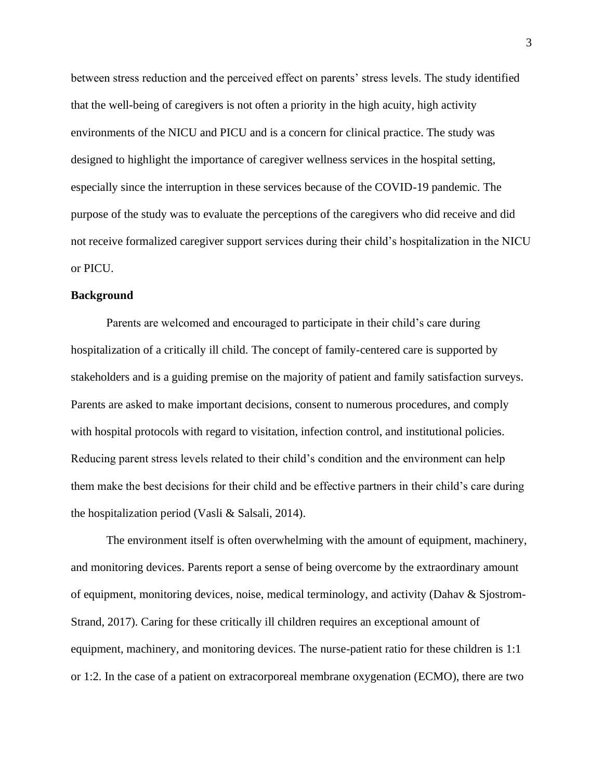between stress reduction and the perceived effect on parents' stress levels. The study identified that the well-being of caregivers is not often a priority in the high acuity, high activity environments of the NICU and PICU and is a concern for clinical practice. The study was designed to highlight the importance of caregiver wellness services in the hospital setting, especially since the interruption in these services because of the COVID-19 pandemic. The purpose of the study was to evaluate the perceptions of the caregivers who did receive and did not receive formalized caregiver support services during their child's hospitalization in the NICU or PICU.

## **Background**

Parents are welcomed and encouraged to participate in their child's care during hospitalization of a critically ill child. The concept of family-centered care is supported by stakeholders and is a guiding premise on the majority of patient and family satisfaction surveys. Parents are asked to make important decisions, consent to numerous procedures, and comply with hospital protocols with regard to visitation, infection control, and institutional policies. Reducing parent stress levels related to their child's condition and the environment can help them make the best decisions for their child and be effective partners in their child's care during the hospitalization period (Vasli & Salsali, 2014).

The environment itself is often overwhelming with the amount of equipment, machinery, and monitoring devices. Parents report a sense of being overcome by the extraordinary amount of equipment, monitoring devices, noise, medical terminology, and activity (Dahav & Sjostrom-Strand, 2017). Caring for these critically ill children requires an exceptional amount of equipment, machinery, and monitoring devices. The nurse-patient ratio for these children is 1:1 or 1:2. In the case of a patient on extracorporeal membrane oxygenation (ECMO), there are two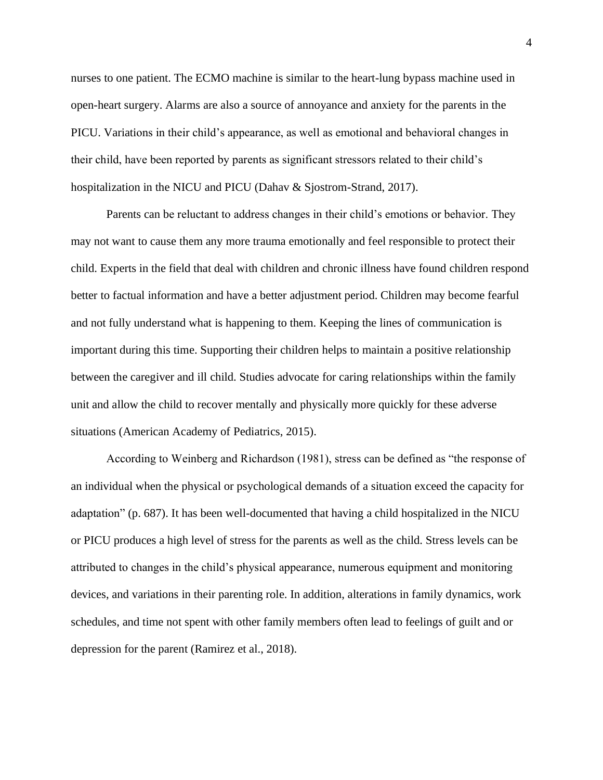nurses to one patient. The ECMO machine is similar to the heart-lung bypass machine used in open-heart surgery. Alarms are also a source of annoyance and anxiety for the parents in the PICU. Variations in their child's appearance, as well as emotional and behavioral changes in their child, have been reported by parents as significant stressors related to their child's hospitalization in the NICU and PICU (Dahav & Sjostrom-Strand, 2017).

Parents can be reluctant to address changes in their child's emotions or behavior. They may not want to cause them any more trauma emotionally and feel responsible to protect their child. Experts in the field that deal with children and chronic illness have found children respond better to factual information and have a better adjustment period. Children may become fearful and not fully understand what is happening to them. Keeping the lines of communication is important during this time. Supporting their children helps to maintain a positive relationship between the caregiver and ill child. Studies advocate for caring relationships within the family unit and allow the child to recover mentally and physically more quickly for these adverse situations (American Academy of Pediatrics, 2015).

According to Weinberg and Richardson (1981), stress can be defined as "the response of an individual when the physical or psychological demands of a situation exceed the capacity for adaptation" (p. 687). It has been well-documented that having a child hospitalized in the NICU or PICU produces a high level of stress for the parents as well as the child. Stress levels can be attributed to changes in the child's physical appearance, numerous equipment and monitoring devices, and variations in their parenting role. In addition, alterations in family dynamics, work schedules, and time not spent with other family members often lead to feelings of guilt and or depression for the parent (Ramirez et al., 2018).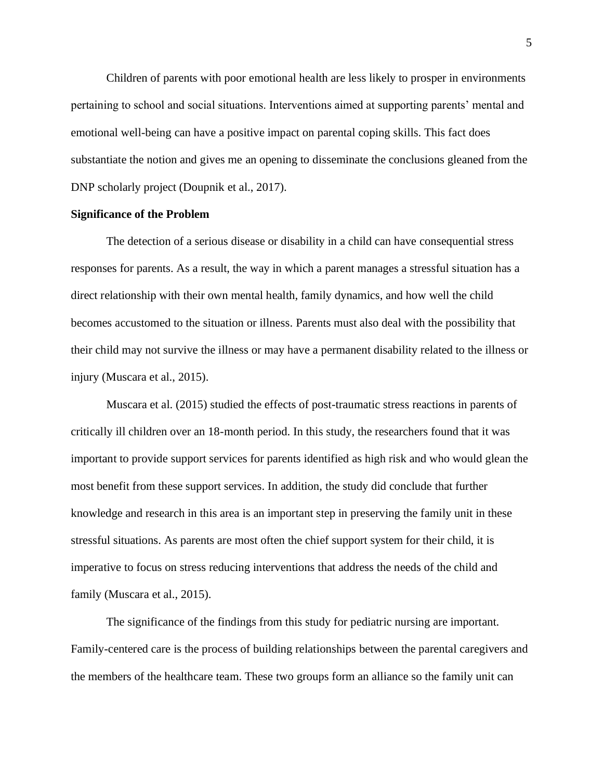Children of parents with poor emotional health are less likely to prosper in environments pertaining to school and social situations. Interventions aimed at supporting parents' mental and emotional well-being can have a positive impact on parental coping skills. This fact does substantiate the notion and gives me an opening to disseminate the conclusions gleaned from the DNP scholarly project (Doupnik et al., 2017).

#### **Significance of the Problem**

The detection of a serious disease or disability in a child can have consequential stress responses for parents. As a result, the way in which a parent manages a stressful situation has a direct relationship with their own mental health, family dynamics, and how well the child becomes accustomed to the situation or illness. Parents must also deal with the possibility that their child may not survive the illness or may have a permanent disability related to the illness or injury (Muscara et al., 2015).

Muscara et al. (2015) studied the effects of post-traumatic stress reactions in parents of critically ill children over an 18-month period. In this study, the researchers found that it was important to provide support services for parents identified as high risk and who would glean the most benefit from these support services. In addition, the study did conclude that further knowledge and research in this area is an important step in preserving the family unit in these stressful situations. As parents are most often the chief support system for their child, it is imperative to focus on stress reducing interventions that address the needs of the child and family (Muscara et al., 2015).

The significance of the findings from this study for pediatric nursing are important. Family-centered care is the process of building relationships between the parental caregivers and the members of the healthcare team. These two groups form an alliance so the family unit can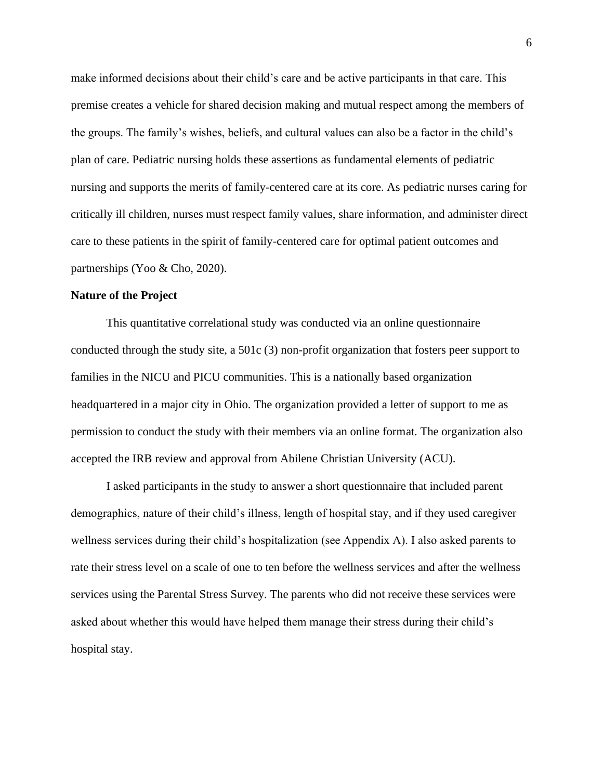make informed decisions about their child's care and be active participants in that care. This premise creates a vehicle for shared decision making and mutual respect among the members of the groups. The family's wishes, beliefs, and cultural values can also be a factor in the child's plan of care. Pediatric nursing holds these assertions as fundamental elements of pediatric nursing and supports the merits of family-centered care at its core. As pediatric nurses caring for critically ill children, nurses must respect family values, share information, and administer direct care to these patients in the spirit of family-centered care for optimal patient outcomes and partnerships (Yoo & Cho, 2020).

#### **Nature of the Project**

This quantitative correlational study was conducted via an online questionnaire conducted through the study site, a 501c (3) non-profit organization that fosters peer support to families in the NICU and PICU communities. This is a nationally based organization headquartered in a major city in Ohio. The organization provided a letter of support to me as permission to conduct the study with their members via an online format. The organization also accepted the IRB review and approval from Abilene Christian University (ACU).

I asked participants in the study to answer a short questionnaire that included parent demographics, nature of their child's illness, length of hospital stay, and if they used caregiver wellness services during their child's hospitalization (see Appendix A). I also asked parents to rate their stress level on a scale of one to ten before the wellness services and after the wellness services using the Parental Stress Survey. The parents who did not receive these services were asked about whether this would have helped them manage their stress during their child's hospital stay.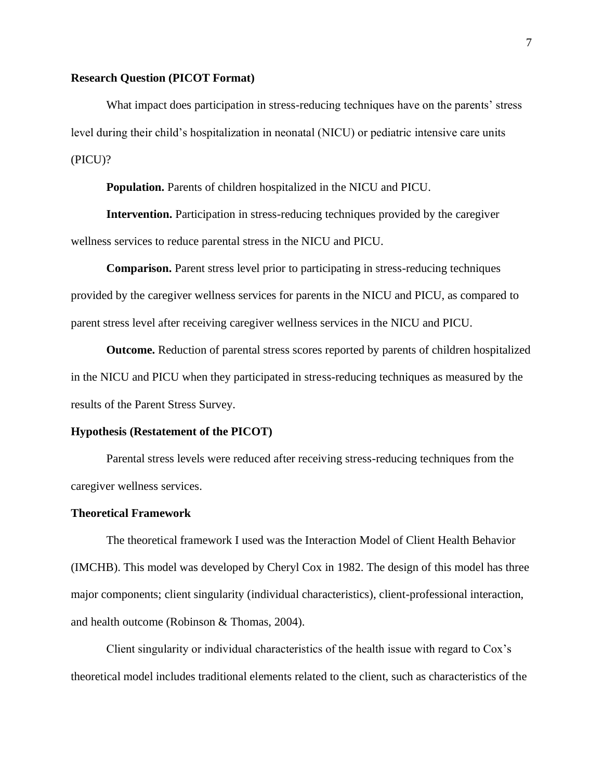## **Research Question (PICOT Format)**

What impact does participation in stress-reducing techniques have on the parents' stress level during their child's hospitalization in neonatal (NICU) or pediatric intensive care units (PICU)?

**Population.** Parents of children hospitalized in the NICU and PICU.

**Intervention.** Participation in stress-reducing techniques provided by the caregiver wellness services to reduce parental stress in the NICU and PICU.

**Comparison.** Parent stress level prior to participating in stress-reducing techniques provided by the caregiver wellness services for parents in the NICU and PICU, as compared to parent stress level after receiving caregiver wellness services in the NICU and PICU.

**Outcome.** Reduction of parental stress scores reported by parents of children hospitalized in the NICU and PICU when they participated in stress-reducing techniques as measured by the results of the Parent Stress Survey.

#### **Hypothesis (Restatement of the PICOT)**

Parental stress levels were reduced after receiving stress-reducing techniques from the caregiver wellness services.

#### **Theoretical Framework**

The theoretical framework I used was the Interaction Model of Client Health Behavior (IMCHB). This model was developed by Cheryl Cox in 1982. The design of this model has three major components; client singularity (individual characteristics), client-professional interaction, and health outcome (Robinson & Thomas, 2004).

Client singularity or individual characteristics of the health issue with regard to Cox's theoretical model includes traditional elements related to the client, such as characteristics of the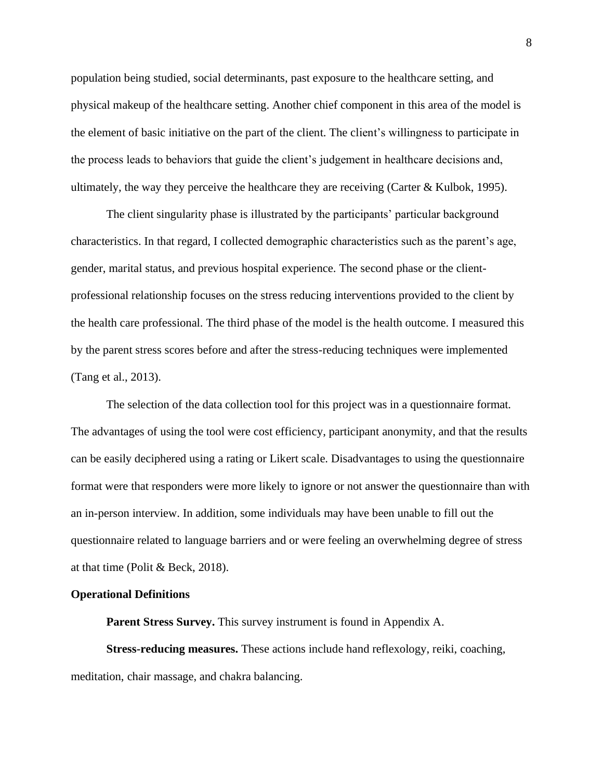population being studied, social determinants, past exposure to the healthcare setting, and physical makeup of the healthcare setting. Another chief component in this area of the model is the element of basic initiative on the part of the client. The client's willingness to participate in the process leads to behaviors that guide the client's judgement in healthcare decisions and, ultimately, the way they perceive the healthcare they are receiving (Carter & Kulbok, 1995).

The client singularity phase is illustrated by the participants' particular background characteristics. In that regard, I collected demographic characteristics such as the parent's age, gender, marital status, and previous hospital experience. The second phase or the clientprofessional relationship focuses on the stress reducing interventions provided to the client by the health care professional. The third phase of the model is the health outcome. I measured this by the parent stress scores before and after the stress-reducing techniques were implemented (Tang et al., 2013).

The selection of the data collection tool for this project was in a questionnaire format. The advantages of using the tool were cost efficiency, participant anonymity, and that the results can be easily deciphered using a rating or Likert scale. Disadvantages to using the questionnaire format were that responders were more likely to ignore or not answer the questionnaire than with an in-person interview. In addition, some individuals may have been unable to fill out the questionnaire related to language barriers and or were feeling an overwhelming degree of stress at that time (Polit & Beck, 2018).

#### **Operational Definitions**

**Parent Stress Survey.** This survey instrument is found in Appendix A.

**Stress-reducing measures.** These actions include hand reflexology, reiki, coaching, meditation, chair massage, and chakra balancing.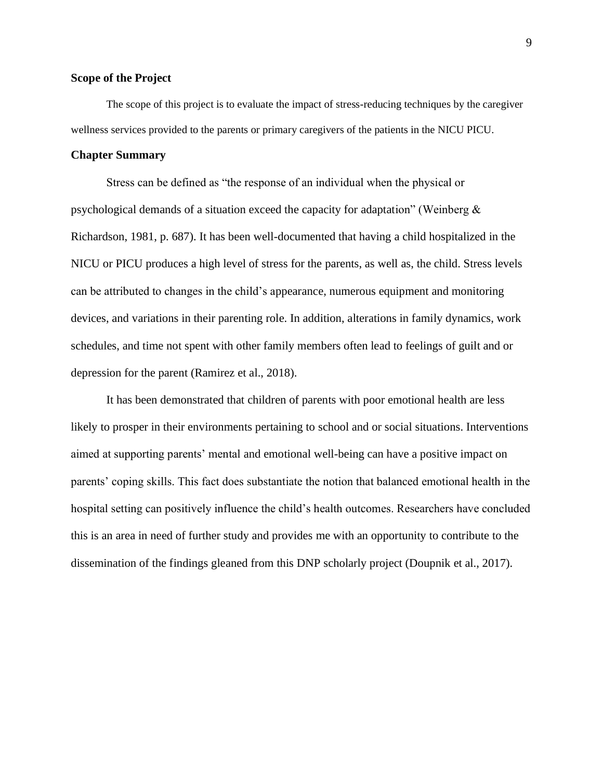## **Scope of the Project**

The scope of this project is to evaluate the impact of stress-reducing techniques by the caregiver wellness services provided to the parents or primary caregivers of the patients in the NICU PICU.

#### **Chapter Summary**

Stress can be defined as "the response of an individual when the physical or psychological demands of a situation exceed the capacity for adaptation" (Weinberg & Richardson, 1981, p. 687). It has been well-documented that having a child hospitalized in the NICU or PICU produces a high level of stress for the parents, as well as, the child. Stress levels can be attributed to changes in the child's appearance, numerous equipment and monitoring devices, and variations in their parenting role. In addition, alterations in family dynamics, work schedules, and time not spent with other family members often lead to feelings of guilt and or depression for the parent (Ramirez et al., 2018).

It has been demonstrated that children of parents with poor emotional health are less likely to prosper in their environments pertaining to school and or social situations. Interventions aimed at supporting parents' mental and emotional well-being can have a positive impact on parents' coping skills. This fact does substantiate the notion that balanced emotional health in the hospital setting can positively influence the child's health outcomes. Researchers have concluded this is an area in need of further study and provides me with an opportunity to contribute to the dissemination of the findings gleaned from this DNP scholarly project (Doupnik et al., 2017).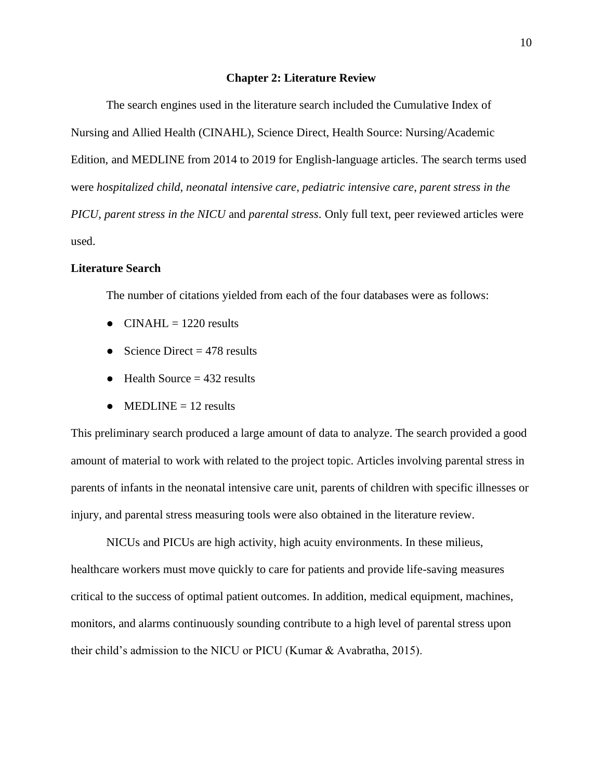#### **Chapter 2: Literature Review**

The search engines used in the literature search included the Cumulative Index of Nursing and Allied Health (CINAHL), Science Direct, Health Source: Nursing/Academic Edition, and MEDLINE from 2014 to 2019 for English-language articles. The search terms used were *hospitalized child*, *neonatal intensive care*, *pediatric intensive care*, *parent stress in the PICU*, *parent stress in the NICU* and *parental stress*. Only full text, peer reviewed articles were used.

## **Literature Search**

The number of citations yielded from each of the four databases were as follows:

- $\bullet$  CINAHL = 1220 results
- Science Direct  $= 478$  results
- $\bullet$  Health Source = 432 results
- $\bullet$  MEDLINE = 12 results

This preliminary search produced a large amount of data to analyze. The search provided a good amount of material to work with related to the project topic. Articles involving parental stress in parents of infants in the neonatal intensive care unit, parents of children with specific illnesses or injury, and parental stress measuring tools were also obtained in the literature review.

NICUs and PICUs are high activity, high acuity environments. In these milieus, healthcare workers must move quickly to care for patients and provide life-saving measures critical to the success of optimal patient outcomes. In addition, medical equipment, machines, monitors, and alarms continuously sounding contribute to a high level of parental stress upon their child's admission to the NICU or PICU (Kumar & Avabratha, 2015).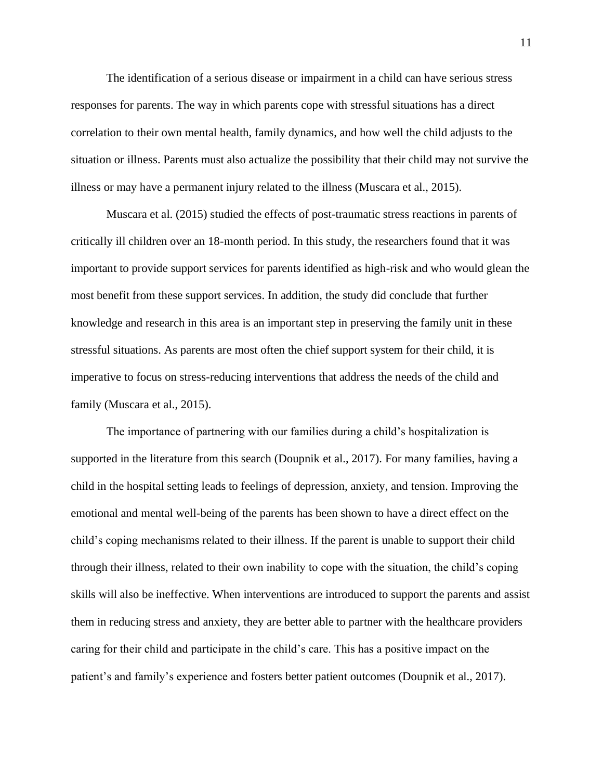The identification of a serious disease or impairment in a child can have serious stress responses for parents. The way in which parents cope with stressful situations has a direct correlation to their own mental health, family dynamics, and how well the child adjusts to the situation or illness. Parents must also actualize the possibility that their child may not survive the illness or may have a permanent injury related to the illness (Muscara et al., 2015).

Muscara et al. (2015) studied the effects of post-traumatic stress reactions in parents of critically ill children over an 18-month period. In this study, the researchers found that it was important to provide support services for parents identified as high-risk and who would glean the most benefit from these support services. In addition, the study did conclude that further knowledge and research in this area is an important step in preserving the family unit in these stressful situations. As parents are most often the chief support system for their child, it is imperative to focus on stress-reducing interventions that address the needs of the child and family (Muscara et al., 2015).

The importance of partnering with our families during a child's hospitalization is supported in the literature from this search (Doupnik et al., 2017). For many families, having a child in the hospital setting leads to feelings of depression, anxiety, and tension. Improving the emotional and mental well-being of the parents has been shown to have a direct effect on the child's coping mechanisms related to their illness. If the parent is unable to support their child through their illness, related to their own inability to cope with the situation, the child's coping skills will also be ineffective. When interventions are introduced to support the parents and assist them in reducing stress and anxiety, they are better able to partner with the healthcare providers caring for their child and participate in the child's care. This has a positive impact on the patient's and family's experience and fosters better patient outcomes (Doupnik et al., 2017).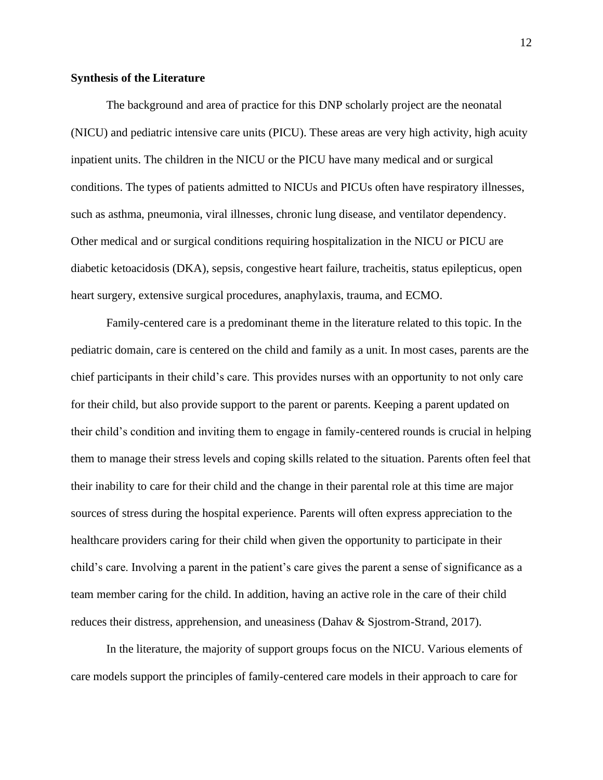## **Synthesis of the Literature**

The background and area of practice for this DNP scholarly project are the neonatal (NICU) and pediatric intensive care units (PICU). These areas are very high activity, high acuity inpatient units. The children in the NICU or the PICU have many medical and or surgical conditions. The types of patients admitted to NICUs and PICUs often have respiratory illnesses, such as asthma, pneumonia, viral illnesses, chronic lung disease, and ventilator dependency. Other medical and or surgical conditions requiring hospitalization in the NICU or PICU are diabetic ketoacidosis (DKA), sepsis, congestive heart failure, tracheitis, status epilepticus, open heart surgery, extensive surgical procedures, anaphylaxis, trauma, and ECMO.

Family-centered care is a predominant theme in the literature related to this topic. In the pediatric domain, care is centered on the child and family as a unit. In most cases, parents are the chief participants in their child's care. This provides nurses with an opportunity to not only care for their child, but also provide support to the parent or parents. Keeping a parent updated on their child's condition and inviting them to engage in family-centered rounds is crucial in helping them to manage their stress levels and coping skills related to the situation. Parents often feel that their inability to care for their child and the change in their parental role at this time are major sources of stress during the hospital experience. Parents will often express appreciation to the healthcare providers caring for their child when given the opportunity to participate in their child's care. Involving a parent in the patient's care gives the parent a sense of significance as a team member caring for the child. In addition, having an active role in the care of their child reduces their distress, apprehension, and uneasiness (Dahav & Sjostrom-Strand, 2017).

In the literature, the majority of support groups focus on the NICU. Various elements of care models support the principles of family-centered care models in their approach to care for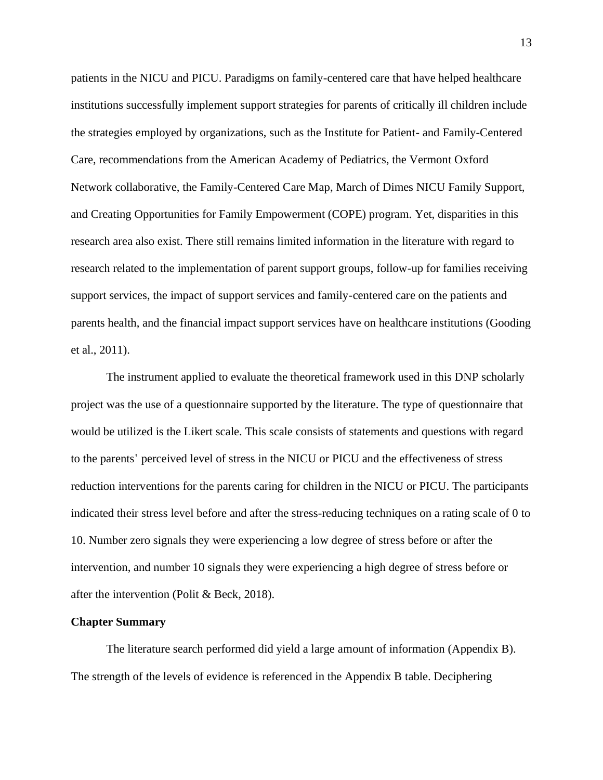patients in the NICU and PICU. Paradigms on family-centered care that have helped healthcare institutions successfully implement support strategies for parents of critically ill children include the strategies employed by organizations, such as the Institute for Patient- and Family-Centered Care, recommendations from the American Academy of Pediatrics, the Vermont Oxford Network collaborative, the Family-Centered Care Map, March of Dimes NICU Family Support, and Creating Opportunities for Family Empowerment (COPE) program. Yet, disparities in this research area also exist. There still remains limited information in the literature with regard to research related to the implementation of parent support groups, follow-up for families receiving support services, the impact of support services and family-centered care on the patients and parents health, and the financial impact support services have on healthcare institutions (Gooding et al., 2011).

The instrument applied to evaluate the theoretical framework used in this DNP scholarly project was the use of a questionnaire supported by the literature. The type of questionnaire that would be utilized is the Likert scale. This scale consists of statements and questions with regard to the parents' perceived level of stress in the NICU or PICU and the effectiveness of stress reduction interventions for the parents caring for children in the NICU or PICU. The participants indicated their stress level before and after the stress-reducing techniques on a rating scale of 0 to 10. Number zero signals they were experiencing a low degree of stress before or after the intervention, and number 10 signals they were experiencing a high degree of stress before or after the intervention (Polit & Beck, 2018).

#### **Chapter Summary**

The literature search performed did yield a large amount of information (Appendix B). The strength of the levels of evidence is referenced in the Appendix B table. Deciphering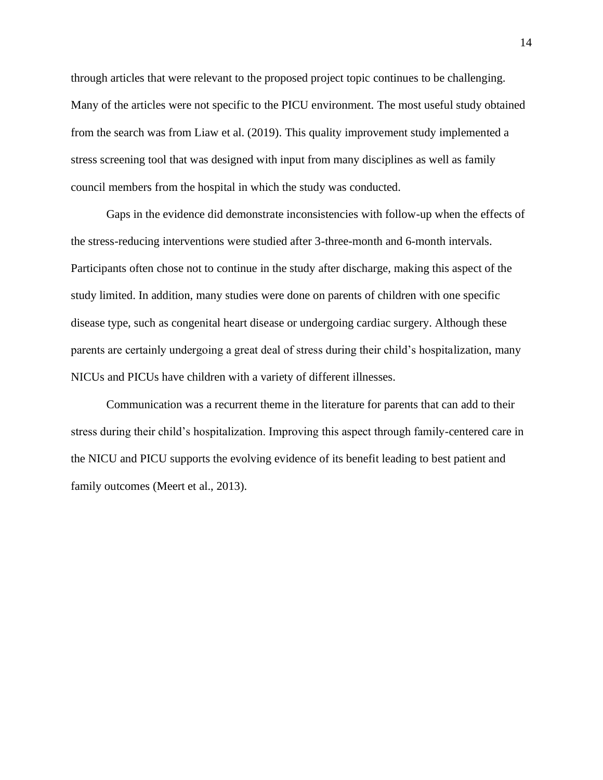through articles that were relevant to the proposed project topic continues to be challenging. Many of the articles were not specific to the PICU environment. The most useful study obtained from the search was from Liaw et al. (2019). This quality improvement study implemented a stress screening tool that was designed with input from many disciplines as well as family council members from the hospital in which the study was conducted.

Gaps in the evidence did demonstrate inconsistencies with follow-up when the effects of the stress-reducing interventions were studied after 3-three-month and 6-month intervals. Participants often chose not to continue in the study after discharge, making this aspect of the study limited. In addition, many studies were done on parents of children with one specific disease type, such as congenital heart disease or undergoing cardiac surgery. Although these parents are certainly undergoing a great deal of stress during their child's hospitalization, many NICUs and PICUs have children with a variety of different illnesses.

Communication was a recurrent theme in the literature for parents that can add to their stress during their child's hospitalization. Improving this aspect through family-centered care in the NICU and PICU supports the evolving evidence of its benefit leading to best patient and family outcomes (Meert et al., 2013).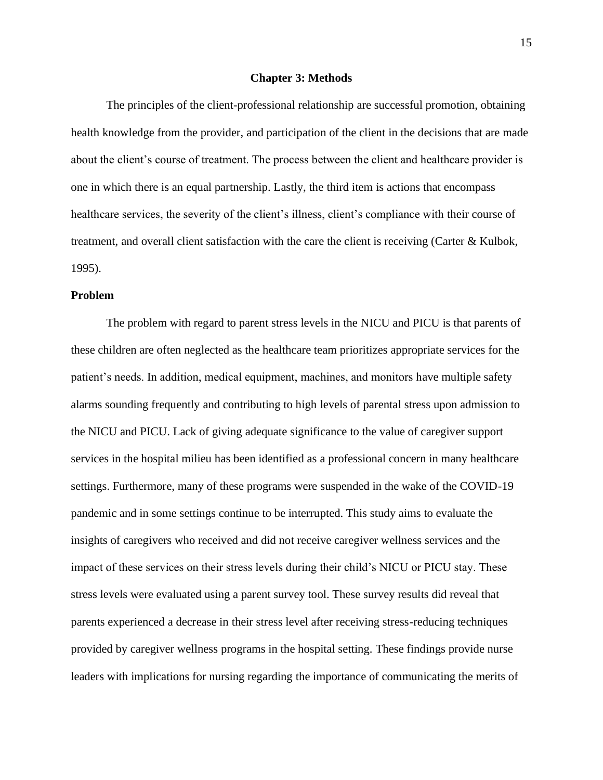#### **Chapter 3: Methods**

The principles of the client-professional relationship are successful promotion, obtaining health knowledge from the provider, and participation of the client in the decisions that are made about the client's course of treatment. The process between the client and healthcare provider is one in which there is an equal partnership. Lastly, the third item is actions that encompass healthcare services, the severity of the client's illness, client's compliance with their course of treatment, and overall client satisfaction with the care the client is receiving (Carter & Kulbok, 1995).

## **Problem**

The problem with regard to parent stress levels in the NICU and PICU is that parents of these children are often neglected as the healthcare team prioritizes appropriate services for the patient's needs. In addition, medical equipment, machines, and monitors have multiple safety alarms sounding frequently and contributing to high levels of parental stress upon admission to the NICU and PICU. Lack of giving adequate significance to the value of caregiver support services in the hospital milieu has been identified as a professional concern in many healthcare settings. Furthermore, many of these programs were suspended in the wake of the COVID-19 pandemic and in some settings continue to be interrupted. This study aims to evaluate the insights of caregivers who received and did not receive caregiver wellness services and the impact of these services on their stress levels during their child's NICU or PICU stay. These stress levels were evaluated using a parent survey tool. These survey results did reveal that parents experienced a decrease in their stress level after receiving stress-reducing techniques provided by caregiver wellness programs in the hospital setting. These findings provide nurse leaders with implications for nursing regarding the importance of communicating the merits of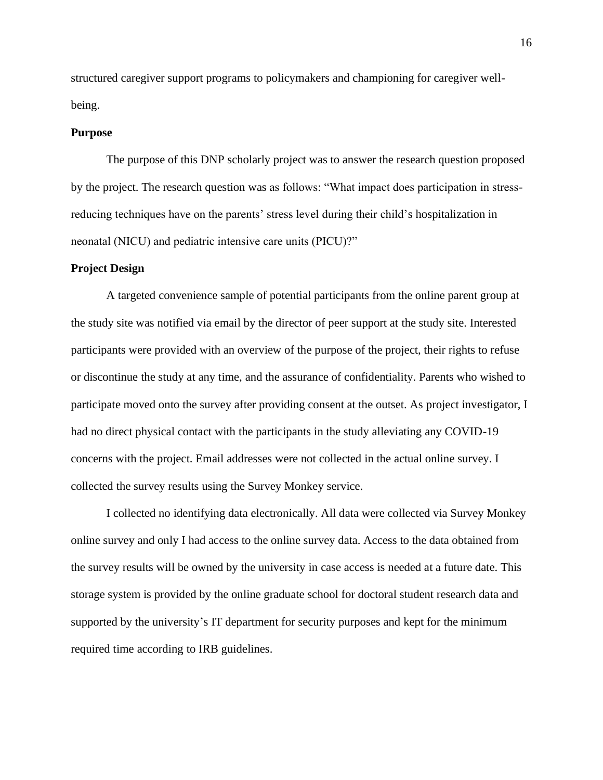structured caregiver support programs to policymakers and championing for caregiver wellbeing.

### **Purpose**

The purpose of this DNP scholarly project was to answer the research question proposed by the project. The research question was as follows: "What impact does participation in stressreducing techniques have on the parents' stress level during their child's hospitalization in neonatal (NICU) and pediatric intensive care units (PICU)?"

#### **Project Design**

A targeted convenience sample of potential participants from the online parent group at the study site was notified via email by the director of peer support at the study site. Interested participants were provided with an overview of the purpose of the project, their rights to refuse or discontinue the study at any time, and the assurance of confidentiality. Parents who wished to participate moved onto the survey after providing consent at the outset. As project investigator, I had no direct physical contact with the participants in the study alleviating any COVID-19 concerns with the project. Email addresses were not collected in the actual online survey. I collected the survey results using the Survey Monkey service.

I collected no identifying data electronically. All data were collected via Survey Monkey online survey and only I had access to the online survey data. Access to the data obtained from the survey results will be owned by the university in case access is needed at a future date. This storage system is provided by the online graduate school for doctoral student research data and supported by the university's IT department for security purposes and kept for the minimum required time according to IRB guidelines.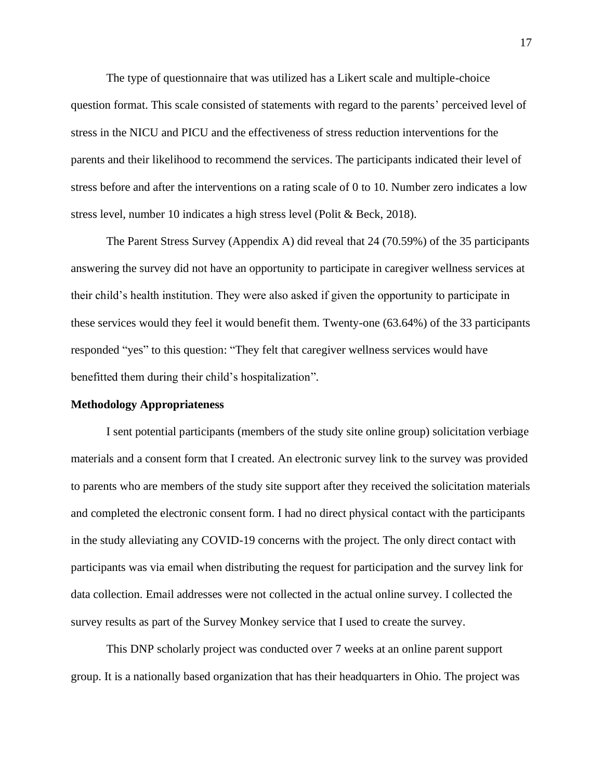The type of questionnaire that was utilized has a Likert scale and multiple-choice question format. This scale consisted of statements with regard to the parents' perceived level of stress in the NICU and PICU and the effectiveness of stress reduction interventions for the parents and their likelihood to recommend the services. The participants indicated their level of stress before and after the interventions on a rating scale of 0 to 10. Number zero indicates a low stress level, number 10 indicates a high stress level (Polit & Beck, 2018).

The Parent Stress Survey (Appendix A) did reveal that 24 (70.59%) of the 35 participants answering the survey did not have an opportunity to participate in caregiver wellness services at their child's health institution. They were also asked if given the opportunity to participate in these services would they feel it would benefit them. Twenty-one (63.64%) of the 33 participants responded "yes" to this question: "They felt that caregiver wellness services would have benefitted them during their child's hospitalization".

#### **Methodology Appropriateness**

I sent potential participants (members of the study site online group) solicitation verbiage materials and a consent form that I created. An electronic survey link to the survey was provided to parents who are members of the study site support after they received the solicitation materials and completed the electronic consent form. I had no direct physical contact with the participants in the study alleviating any COVID-19 concerns with the project. The only direct contact with participants was via email when distributing the request for participation and the survey link for data collection. Email addresses were not collected in the actual online survey. I collected the survey results as part of the Survey Monkey service that I used to create the survey.

This DNP scholarly project was conducted over 7 weeks at an online parent support group. It is a nationally based organization that has their headquarters in Ohio. The project was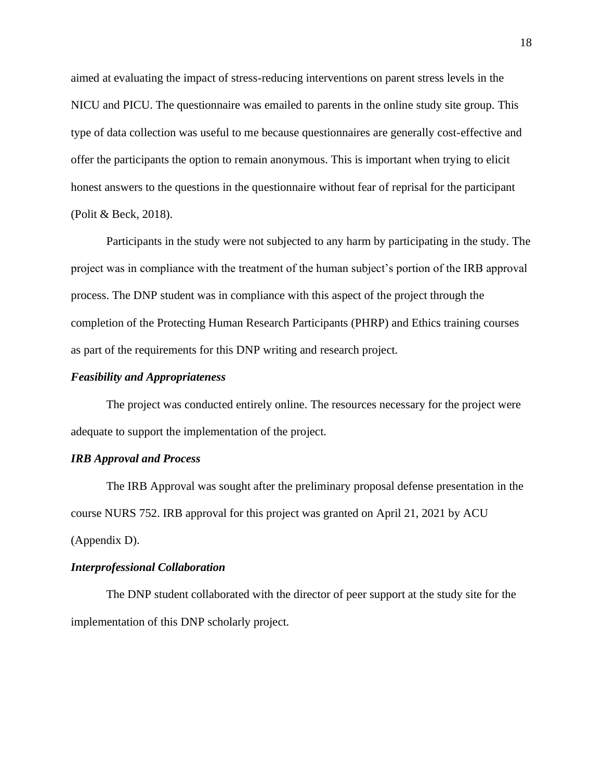aimed at evaluating the impact of stress-reducing interventions on parent stress levels in the NICU and PICU. The questionnaire was emailed to parents in the online study site group. This type of data collection was useful to me because questionnaires are generally cost-effective and offer the participants the option to remain anonymous. This is important when trying to elicit honest answers to the questions in the questionnaire without fear of reprisal for the participant (Polit & Beck, 2018).

Participants in the study were not subjected to any harm by participating in the study. The project was in compliance with the treatment of the human subject's portion of the IRB approval process. The DNP student was in compliance with this aspect of the project through the completion of the Protecting Human Research Participants (PHRP) and Ethics training courses as part of the requirements for this DNP writing and research project.

## *Feasibility and Appropriateness*

The project was conducted entirely online. The resources necessary for the project were adequate to support the implementation of the project.

#### *IRB Approval and Process*

The IRB Approval was sought after the preliminary proposal defense presentation in the course NURS 752. IRB approval for this project was granted on April 21, 2021 by ACU (Appendix D).

## *Interprofessional Collaboration*

The DNP student collaborated with the director of peer support at the study site for the implementation of this DNP scholarly project.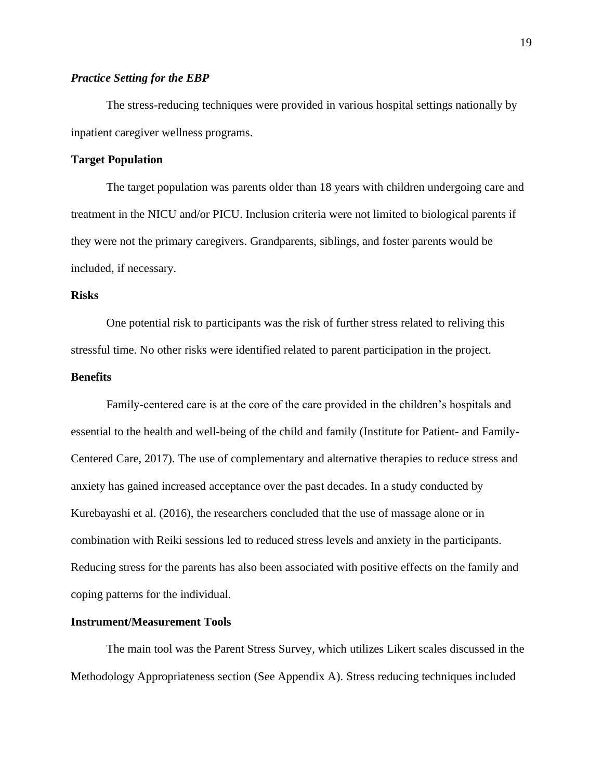## *Practice Setting for the EBP*

The stress-reducing techniques were provided in various hospital settings nationally by inpatient caregiver wellness programs.

## **Target Population**

The target population was parents older than 18 years with children undergoing care and treatment in the NICU and/or PICU. Inclusion criteria were not limited to biological parents if they were not the primary caregivers. Grandparents, siblings, and foster parents would be included, if necessary.

## **Risks**

One potential risk to participants was the risk of further stress related to reliving this stressful time. No other risks were identified related to parent participation in the project.

## **Benefits**

Family-centered care is at the core of the care provided in the children's hospitals and essential to the health and well-being of the child and family (Institute for Patient- and Family-Centered Care, 2017). The use of complementary and alternative therapies to reduce stress and anxiety has gained increased acceptance over the past decades. In a study conducted by Kurebayashi et al. (2016), the researchers concluded that the use of massage alone or in combination with Reiki sessions led to reduced stress levels and anxiety in the participants. Reducing stress for the parents has also been associated with positive effects on the family and coping patterns for the individual.

#### **Instrument/Measurement Tools**

The main tool was the Parent Stress Survey, which utilizes Likert scales discussed in the Methodology Appropriateness section (See Appendix A). Stress reducing techniques included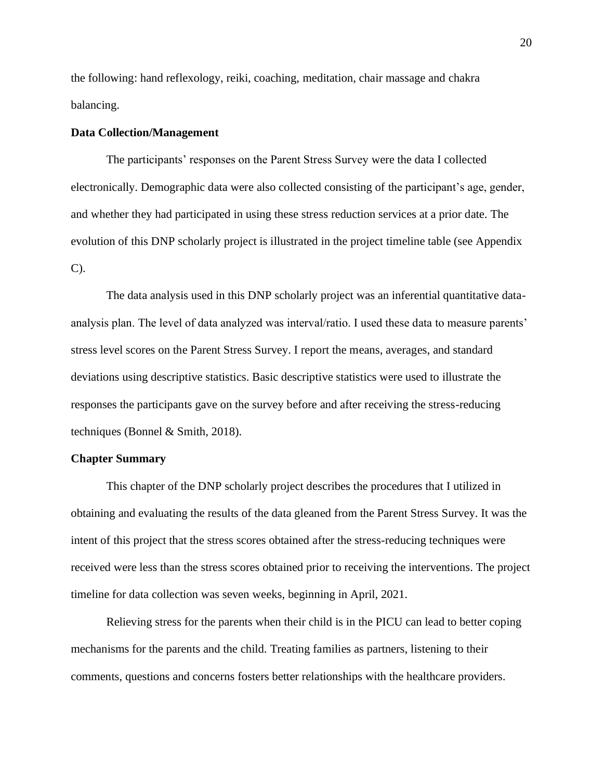the following: hand reflexology, reiki, coaching, meditation, chair massage and chakra balancing.

#### **Data Collection/Management**

The participants' responses on the Parent Stress Survey were the data I collected electronically. Demographic data were also collected consisting of the participant's age, gender, and whether they had participated in using these stress reduction services at a prior date. The evolution of this DNP scholarly project is illustrated in the project timeline table (see Appendix C).

The data analysis used in this DNP scholarly project was an inferential quantitative dataanalysis plan. The level of data analyzed was interval/ratio. I used these data to measure parents' stress level scores on the Parent Stress Survey. I report the means, averages, and standard deviations using descriptive statistics. Basic descriptive statistics were used to illustrate the responses the participants gave on the survey before and after receiving the stress-reducing techniques (Bonnel & Smith, 2018).

#### **Chapter Summary**

This chapter of the DNP scholarly project describes the procedures that I utilized in obtaining and evaluating the results of the data gleaned from the Parent Stress Survey. It was the intent of this project that the stress scores obtained after the stress-reducing techniques were received were less than the stress scores obtained prior to receiving the interventions. The project timeline for data collection was seven weeks, beginning in April, 2021.

Relieving stress for the parents when their child is in the PICU can lead to better coping mechanisms for the parents and the child. Treating families as partners, listening to their comments, questions and concerns fosters better relationships with the healthcare providers.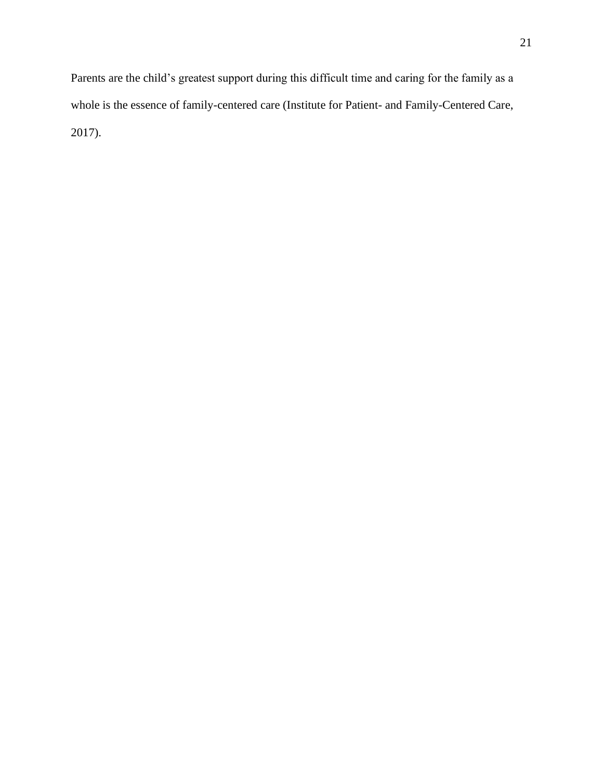Parents are the child's greatest support during this difficult time and caring for the family as a whole is the essence of family-centered care (Institute for Patient- and Family-Centered Care, 2017).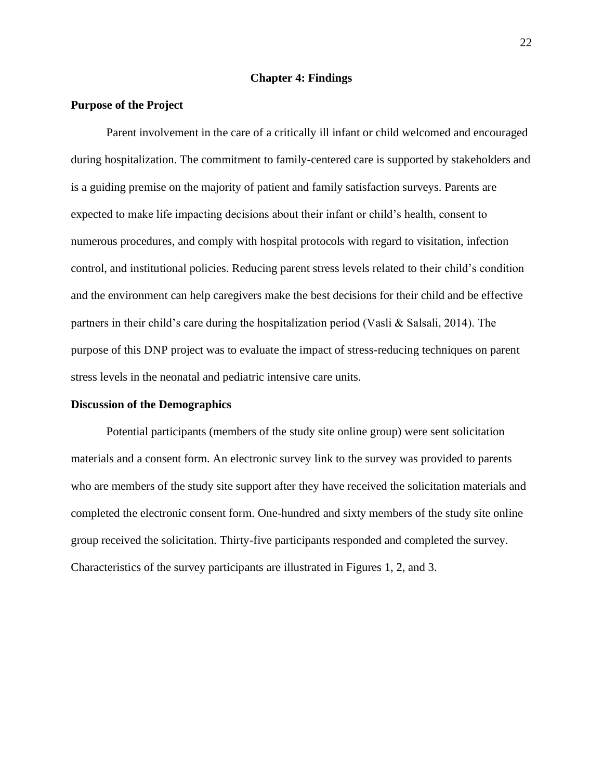## **Chapter 4: Findings**

## **Purpose of the Project**

Parent involvement in the care of a critically ill infant or child welcomed and encouraged during hospitalization. The commitment to family-centered care is supported by stakeholders and is a guiding premise on the majority of patient and family satisfaction surveys. Parents are expected to make life impacting decisions about their infant or child's health, consent to numerous procedures, and comply with hospital protocols with regard to visitation, infection control, and institutional policies. Reducing parent stress levels related to their child's condition and the environment can help caregivers make the best decisions for their child and be effective partners in their child's care during the hospitalization period (Vasli & Salsali, 2014). The purpose of this DNP project was to evaluate the impact of stress-reducing techniques on parent stress levels in the neonatal and pediatric intensive care units.

### **Discussion of the Demographics**

Potential participants (members of the study site online group) were sent solicitation materials and a consent form. An electronic survey link to the survey was provided to parents who are members of the study site support after they have received the solicitation materials and completed the electronic consent form. One-hundred and sixty members of the study site online group received the solicitation. Thirty-five participants responded and completed the survey. Characteristics of the survey participants are illustrated in Figures 1, 2, and 3.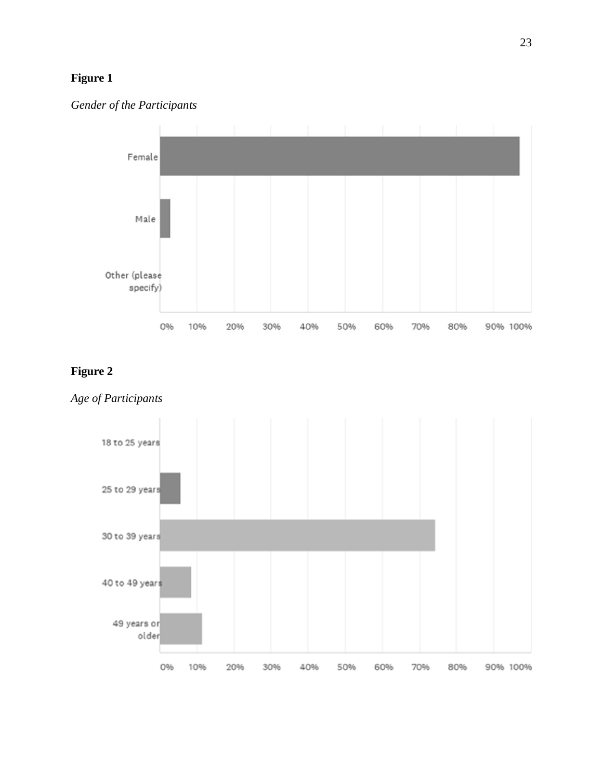## **Figure 1**





## **Figure 2**



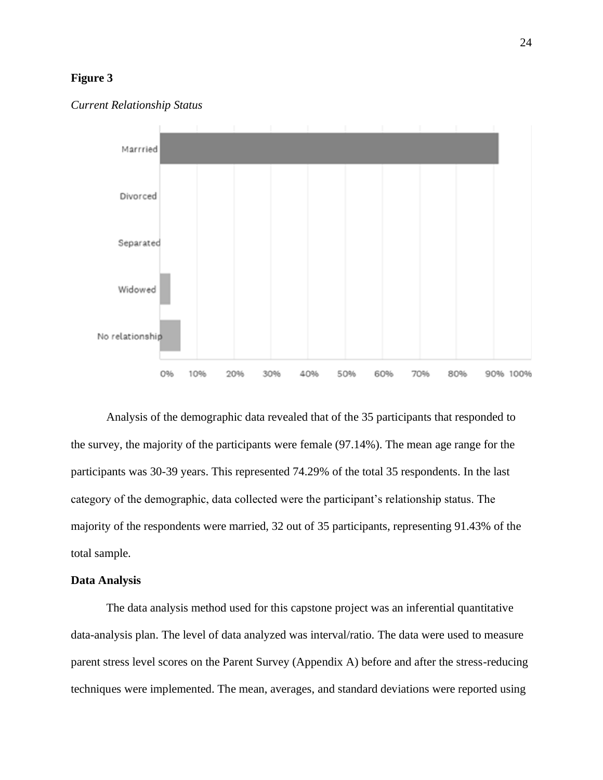## **Figure 3**



#### *Current Relationship Status*

Analysis of the demographic data revealed that of the 35 participants that responded to the survey, the majority of the participants were female (97.14%). The mean age range for the participants was 30-39 years. This represented 74.29% of the total 35 respondents. In the last category of the demographic, data collected were the participant's relationship status. The majority of the respondents were married, 32 out of 35 participants, representing 91.43% of the total sample.

## **Data Analysis**

The data analysis method used for this capstone project was an inferential quantitative data-analysis plan. The level of data analyzed was interval/ratio. The data were used to measure parent stress level scores on the Parent Survey (Appendix A) before and after the stress-reducing techniques were implemented. The mean, averages, and standard deviations were reported using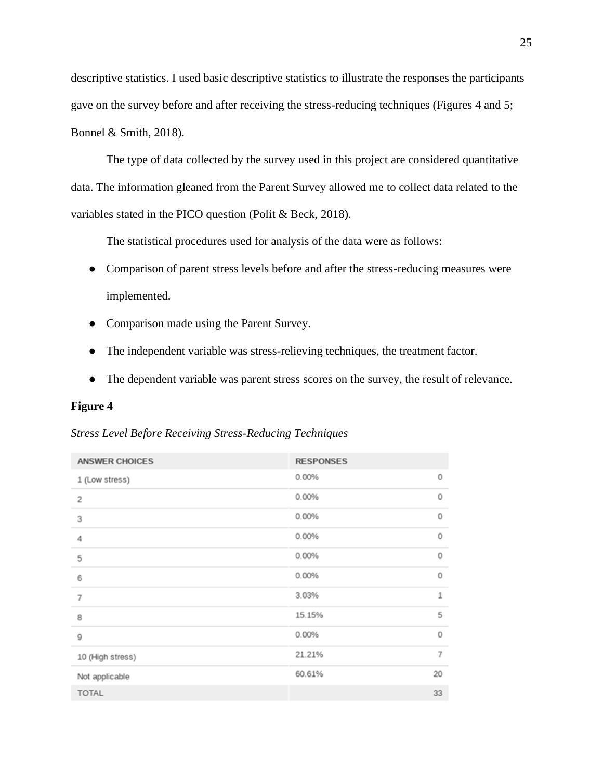descriptive statistics. I used basic descriptive statistics to illustrate the responses the participants gave on the survey before and after receiving the stress-reducing techniques (Figures 4 and 5; Bonnel & Smith, 2018).

The type of data collected by the survey used in this project are considered quantitative data. The information gleaned from the Parent Survey allowed me to collect data related to the variables stated in the PICO question (Polit & Beck, 2018).

The statistical procedures used for analysis of the data were as follows:

- Comparison of parent stress levels before and after the stress-reducing measures were implemented.
- Comparison made using the Parent Survey.
- The independent variable was stress-relieving techniques, the treatment factor.
- The dependent variable was parent stress scores on the survey, the result of relevance.

## **Figure 4**

*Stress Level Before Receiving Stress-Reducing Techniques*

| <b>ANSWER CHOICES</b> | <b>RESPONSES</b> |                |
|-----------------------|------------------|----------------|
| 1 (Low stress)        | 0.00%            | 0              |
| $\overline{c}$        | 0.00%            | $\circ$        |
| 3                     | 0.00%            | $\circ$        |
| 4                     | 0.00%            | $\circ$        |
| 5                     | 0.00%            | $\circ$        |
| 6                     | 0.00%            | $\circ$        |
| $\overline{7}$        | 3.03%            | $\mathbf{1}$   |
| 8                     | 15.15%           | 5              |
| 9                     | 0.00%            | $\circ$        |
| 10 (High stress)      | 21.21%           | $\overline{7}$ |
| Not applicable        | 60.61%           | 20             |
| <b>TOTAL</b>          |                  | 33             |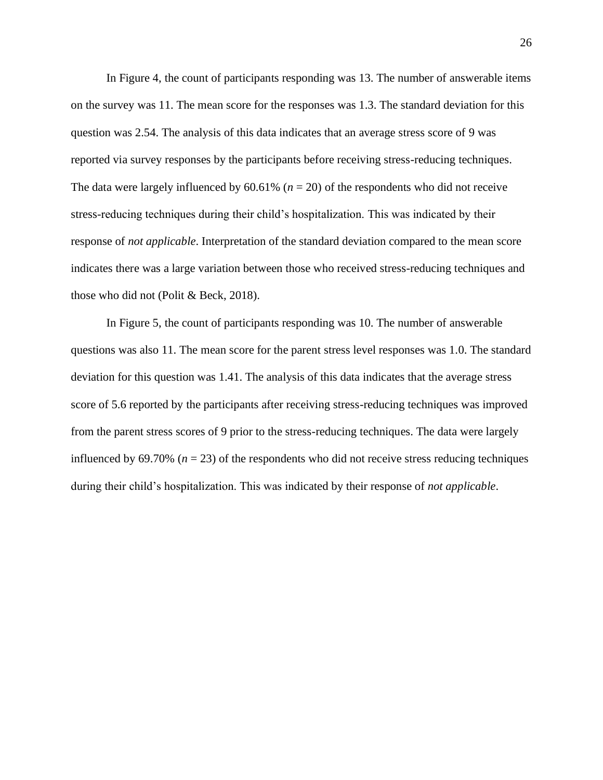In Figure 4, the count of participants responding was 13. The number of answerable items on the survey was 11. The mean score for the responses was 1.3. The standard deviation for this question was 2.54. The analysis of this data indicates that an average stress score of 9 was reported via survey responses by the participants before receiving stress-reducing techniques. The data were largely influenced by  $60.61\%$  ( $n = 20$ ) of the respondents who did not receive stress-reducing techniques during their child's hospitalization. This was indicated by their response of *not applicable*. Interpretation of the standard deviation compared to the mean score indicates there was a large variation between those who received stress-reducing techniques and those who did not (Polit & Beck, 2018).

In Figure 5, the count of participants responding was 10. The number of answerable questions was also 11. The mean score for the parent stress level responses was 1.0. The standard deviation for this question was 1.41. The analysis of this data indicates that the average stress score of 5.6 reported by the participants after receiving stress-reducing techniques was improved from the parent stress scores of 9 prior to the stress-reducing techniques. The data were largely influenced by 69.70% ( $n = 23$ ) of the respondents who did not receive stress reducing techniques during their child's hospitalization. This was indicated by their response of *not applicable*.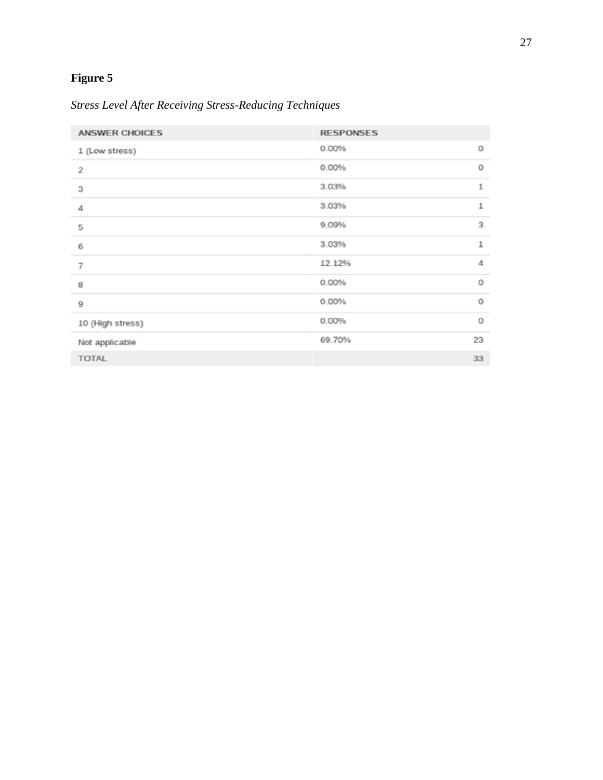# **Figure 5**

*Stress Level After Receiving Stress-Reducing Techniques*

| <b>ANSWER CHOICES</b>   | <b>RESPONSES</b> |              |
|-------------------------|------------------|--------------|
| 1 (Low stress)          | 0.00%            | 0            |
| $\overline{\mathbf{c}}$ | 0.00%            | 0            |
| 3                       | 3.03%            | $\mathbf{1}$ |
| 4                       | 3.03%            | $\mathbf 1$  |
| 5                       | 9.09%            | 3            |
| 6                       | 3.03%            | 1            |
| $\overline{7}$          | 12.12%           | 4            |
| 8                       | 0.00%            | 0            |
| 9                       | 0.00%            | 0            |
| 10 (High stress)        | 0.00%            | $\circ$      |
| Not applicable          | 69.70%           | 23           |
| <b>TOTAL</b>            |                  | 33           |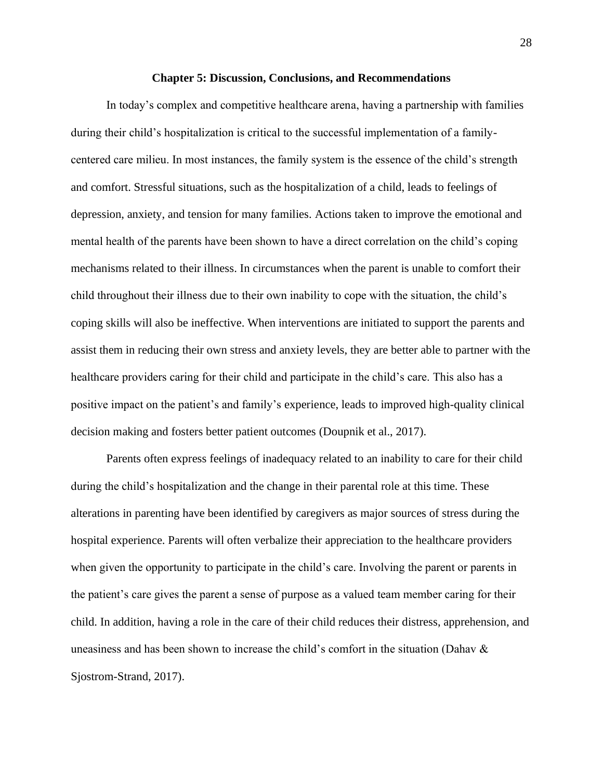#### **Chapter 5: Discussion, Conclusions, and Recommendations**

In today's complex and competitive healthcare arena, having a partnership with families during their child's hospitalization is critical to the successful implementation of a familycentered care milieu. In most instances, the family system is the essence of the child's strength and comfort. Stressful situations, such as the hospitalization of a child, leads to feelings of depression, anxiety, and tension for many families. Actions taken to improve the emotional and mental health of the parents have been shown to have a direct correlation on the child's coping mechanisms related to their illness. In circumstances when the parent is unable to comfort their child throughout their illness due to their own inability to cope with the situation, the child's coping skills will also be ineffective. When interventions are initiated to support the parents and assist them in reducing their own stress and anxiety levels, they are better able to partner with the healthcare providers caring for their child and participate in the child's care. This also has a positive impact on the patient's and family's experience, leads to improved high-quality clinical decision making and fosters better patient outcomes (Doupnik et al., 2017).

Parents often express feelings of inadequacy related to an inability to care for their child during the child's hospitalization and the change in their parental role at this time. These alterations in parenting have been identified by caregivers as major sources of stress during the hospital experience. Parents will often verbalize their appreciation to the healthcare providers when given the opportunity to participate in the child's care. Involving the parent or parents in the patient's care gives the parent a sense of purpose as a valued team member caring for their child. In addition, having a role in the care of their child reduces their distress, apprehension, and uneasiness and has been shown to increase the child's comfort in the situation (Dahav & Sjostrom-Strand, 2017).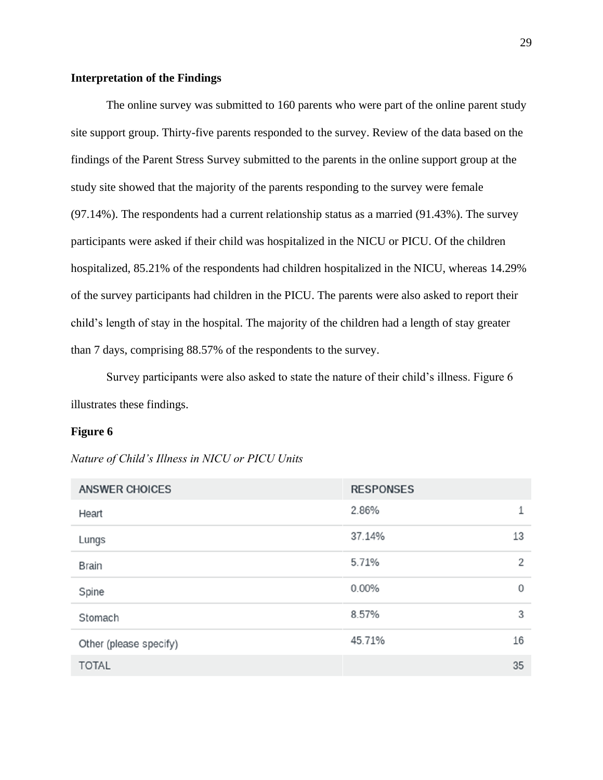## **Interpretation of the Findings**

The online survey was submitted to 160 parents who were part of the online parent study site support group. Thirty-five parents responded to the survey. Review of the data based on the findings of the Parent Stress Survey submitted to the parents in the online support group at the study site showed that the majority of the parents responding to the survey were female (97.14%). The respondents had a current relationship status as a married (91.43%). The survey participants were asked if their child was hospitalized in the NICU or PICU. Of the children hospitalized, 85.21% of the respondents had children hospitalized in the NICU, whereas 14.29% of the survey participants had children in the PICU. The parents were also asked to report their child's length of stay in the hospital. The majority of the children had a length of stay greater than 7 days, comprising 88.57% of the respondents to the survey.

Survey participants were also asked to state the nature of their child's illness. Figure 6 illustrates these findings.

#### **Figure 6**

*Nature of Child's Illness in NICU or PICU Units* 

| <b>ANSWER CHOICES</b>  | <b>RESPONSES</b> |                |
|------------------------|------------------|----------------|
| Heart                  | 2.86%            | 1              |
| Lungs                  | 37.14%           | 13             |
| <b>Brain</b>           | 5.71%            | $\overline{2}$ |
| Spine                  | 0.00%            | 0              |
| Stomach                | 8.57%            | 3              |
| Other (please specify) | 45.71%           | 16             |
| <b>TOTAL</b>           |                  | 35             |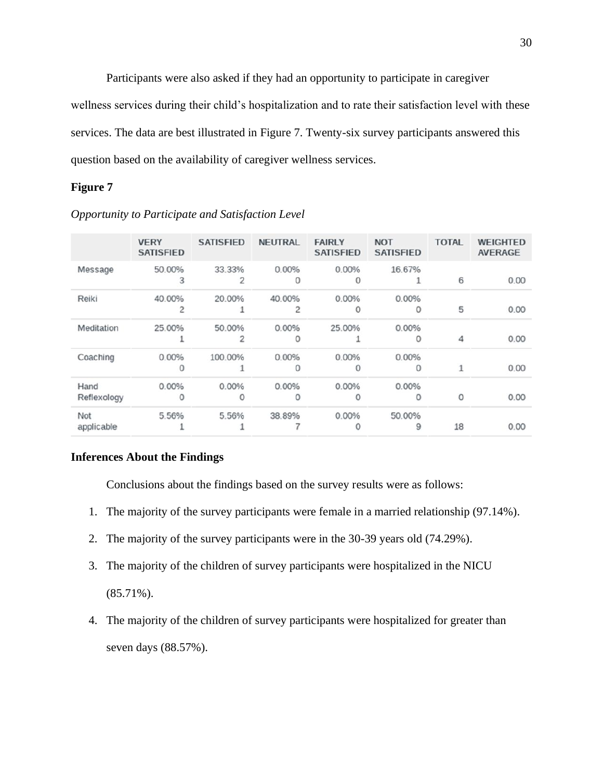Participants were also asked if they had an opportunity to participate in caregiver wellness services during their child's hospitalization and to rate their satisfaction level with these services. The data are best illustrated in Figure 7. Twenty-six survey participants answered this question based on the availability of caregiver wellness services.

## **Figure 7**

|                     | <b>VERY</b><br><b>SATISFIED</b> | <b>SATISFIED</b> | <b>NEUTRAL</b> | <b>FAIRLY</b><br><b>SATISFIED</b> | <b>NOT</b><br><b>SATISFIED</b> | <b>TOTAL</b> | <b>WEIGHTED</b><br><b>AVERAGE</b> |
|---------------------|---------------------------------|------------------|----------------|-----------------------------------|--------------------------------|--------------|-----------------------------------|
| Message             | 50.00%<br>3                     | 33.33%           | 0.00%          | 0.00%                             | 16.67%                         | 6            | 0.00                              |
| Reiki               | 40.00%<br>2                     | 20.00%           | 40.00%         | 0.00%                             | 0.00%<br>0                     | 5            | 0.00                              |
| Meditation          | 25.00%                          | 50.00%           | 0.00%          | 25.00%                            | 0.00%<br>0                     | 4            | 0.00                              |
| Coaching            | 0.00%                           | 100.00%          | 0.00%<br>0     | 0.00%                             | 0.00%<br>Ω                     |              | 0.00                              |
| Hand<br>Reflexology | 0.00%<br>0                      | 0.00%<br>0       | 0.00%<br>Ω     | 0.00%<br>Ω                        | 0.00%<br>0                     | $\Omega$     | 0.00                              |
| Not<br>applicable   | 5.56%                           | 5.56%            | 38.89%         | 0.00%                             | 50.00%<br>9                    | 18           | 0.00                              |

*Opportunity to Participate and Satisfaction Level*

## **Inferences About the Findings**

Conclusions about the findings based on the survey results were as follows:

- 1. The majority of the survey participants were female in a married relationship (97.14%).
- 2. The majority of the survey participants were in the 30-39 years old (74.29%).
- 3. The majority of the children of survey participants were hospitalized in the NICU  $(85.71\%)$ .
- 4. The majority of the children of survey participants were hospitalized for greater than seven days (88.57%).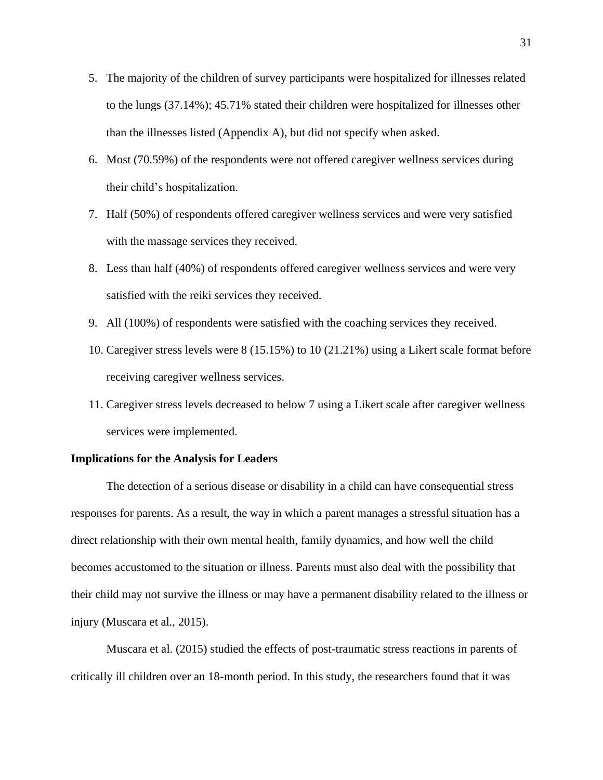- 5. The majority of the children of survey participants were hospitalized for illnesses related to the lungs (37.14%); 45.71% stated their children were hospitalized for illnesses other than the illnesses listed (Appendix A), but did not specify when asked.
- 6. Most (70.59%) of the respondents were not offered caregiver wellness services during their child's hospitalization.
- 7. Half (50%) of respondents offered caregiver wellness services and were very satisfied with the massage services they received.
- 8. Less than half (40%) of respondents offered caregiver wellness services and were very satisfied with the reiki services they received.
- 9. All (100%) of respondents were satisfied with the coaching services they received.
- 10. Caregiver stress levels were 8 (15.15%) to 10 (21.21%) using a Likert scale format before receiving caregiver wellness services.
- 11. Caregiver stress levels decreased to below 7 using a Likert scale after caregiver wellness services were implemented.

#### **Implications for the Analysis for Leaders**

The detection of a serious disease or disability in a child can have consequential stress responses for parents. As a result, the way in which a parent manages a stressful situation has a direct relationship with their own mental health, family dynamics, and how well the child becomes accustomed to the situation or illness. Parents must also deal with the possibility that their child may not survive the illness or may have a permanent disability related to the illness or injury (Muscara et al., 2015).

Muscara et al. (2015) studied the effects of post-traumatic stress reactions in parents of critically ill children over an 18-month period. In this study, the researchers found that it was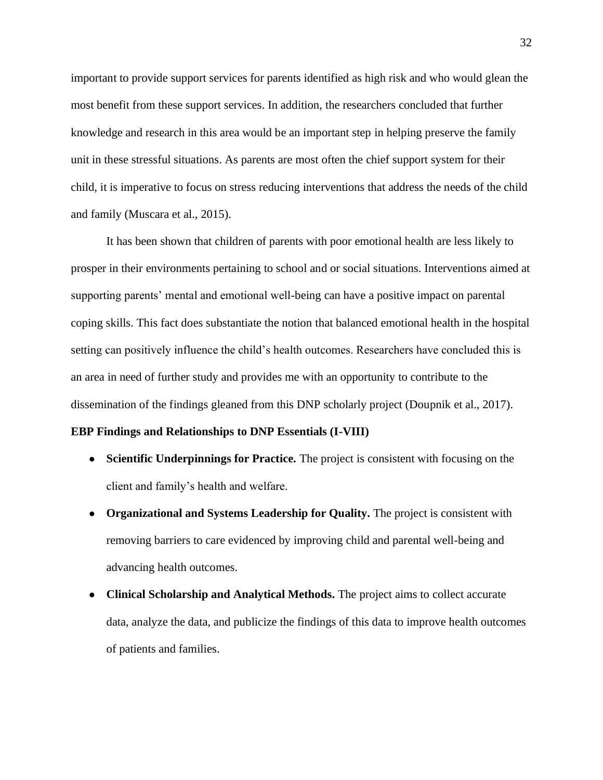important to provide support services for parents identified as high risk and who would glean the most benefit from these support services. In addition, the researchers concluded that further knowledge and research in this area would be an important step in helping preserve the family unit in these stressful situations. As parents are most often the chief support system for their child, it is imperative to focus on stress reducing interventions that address the needs of the child and family (Muscara et al., 2015).

It has been shown that children of parents with poor emotional health are less likely to prosper in their environments pertaining to school and or social situations. Interventions aimed at supporting parents' mental and emotional well-being can have a positive impact on parental coping skills. This fact does substantiate the notion that balanced emotional health in the hospital setting can positively influence the child's health outcomes. Researchers have concluded this is an area in need of further study and provides me with an opportunity to contribute to the dissemination of the findings gleaned from this DNP scholarly project (Doupnik et al., 2017).

## **EBP Findings and Relationships to DNP Essentials (I-VIII)**

- **Scientific Underpinnings for Practice.** The project is consistent with focusing on the client and family's health and welfare.
- **Organizational and Systems Leadership for Quality.** The project is consistent with removing barriers to care evidenced by improving child and parental well-being and advancing health outcomes.
- **Clinical Scholarship and Analytical Methods.** The project aims to collect accurate data, analyze the data, and publicize the findings of this data to improve health outcomes of patients and families.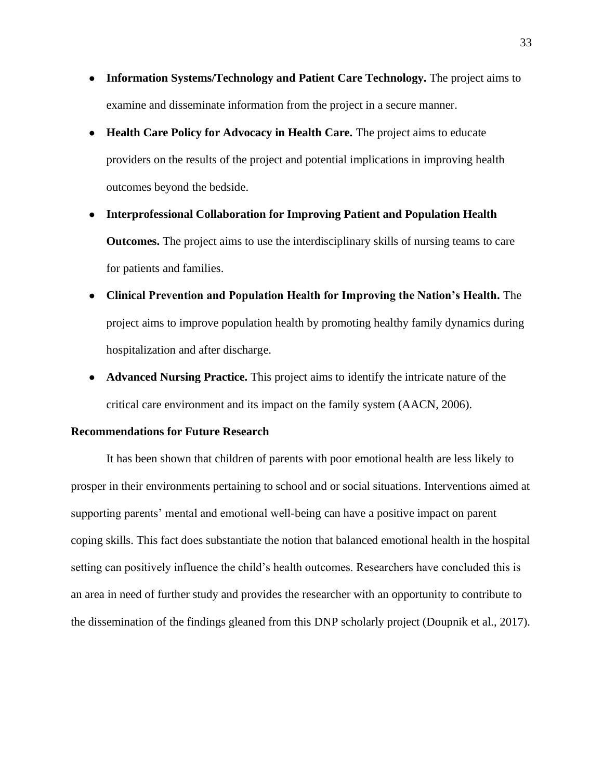- **Information Systems/Technology and Patient Care Technology.** The project aims to examine and disseminate information from the project in a secure manner.
- **Health Care Policy for Advocacy in Health Care.** The project aims to educate providers on the results of the project and potential implications in improving health outcomes beyond the bedside.
- **Interprofessional Collaboration for Improving Patient and Population Health Outcomes.** The project aims to use the interdisciplinary skills of nursing teams to care for patients and families.
- **Clinical Prevention and Population Health for Improving the Nation's Health.** The project aims to improve population health by promoting healthy family dynamics during hospitalization and after discharge.
- **Advanced Nursing Practice.** This project aims to identify the intricate nature of the critical care environment and its impact on the family system (AACN, 2006).

## **Recommendations for Future Research**

It has been shown that children of parents with poor emotional health are less likely to prosper in their environments pertaining to school and or social situations. Interventions aimed at supporting parents' mental and emotional well-being can have a positive impact on parent coping skills. This fact does substantiate the notion that balanced emotional health in the hospital setting can positively influence the child's health outcomes. Researchers have concluded this is an area in need of further study and provides the researcher with an opportunity to contribute to the dissemination of the findings gleaned from this DNP scholarly project (Doupnik et al., 2017).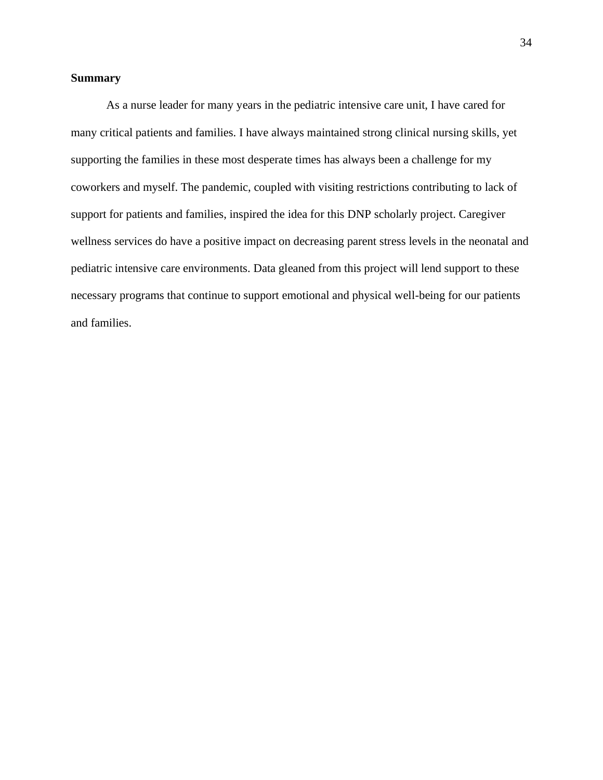## **Summary**

As a nurse leader for many years in the pediatric intensive care unit, I have cared for many critical patients and families. I have always maintained strong clinical nursing skills, yet supporting the families in these most desperate times has always been a challenge for my coworkers and myself. The pandemic, coupled with visiting restrictions contributing to lack of support for patients and families, inspired the idea for this DNP scholarly project. Caregiver wellness services do have a positive impact on decreasing parent stress levels in the neonatal and pediatric intensive care environments. Data gleaned from this project will lend support to these necessary programs that continue to support emotional and physical well-being for our patients and families.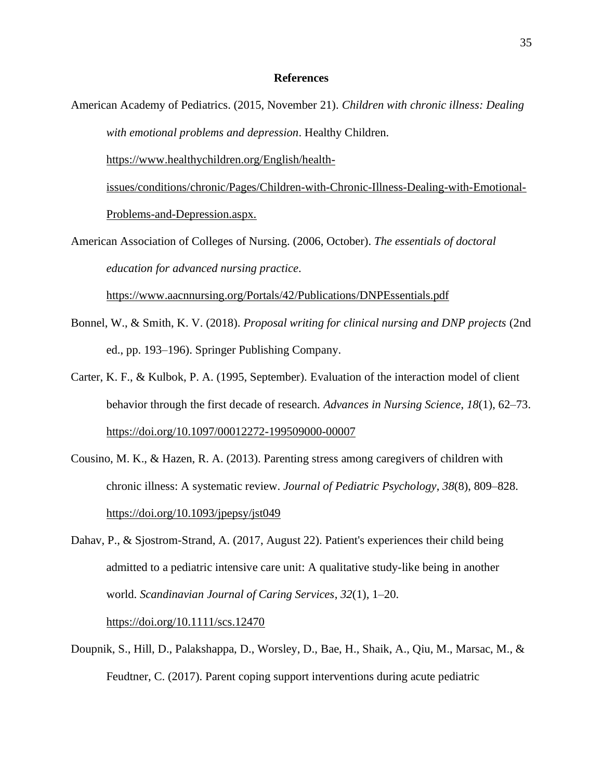#### **References**

American Academy of Pediatrics. (2015, November 21). *Children with chronic illness: Dealing with emotional problems and depression*. Healthy Children.

[https://www.healthychildren.org/English/health-](https://www.healthychildren.org/English/health-issues/conditions/chronic/Pages/Children-with-Chronic-Illness-Dealing-with-Emotional-Problems-and-Depression.aspx.)

[issues/conditions/chronic/Pages/Children-with-Chronic-Illness-Dealing-with-Emotional-](https://www.healthychildren.org/English/health-issues/conditions/chronic/Pages/Children-with-Chronic-Illness-Dealing-with-Emotional-Problems-and-Depression.aspx.)[Problems-and-Depression.aspx.](https://www.healthychildren.org/English/health-issues/conditions/chronic/Pages/Children-with-Chronic-Illness-Dealing-with-Emotional-Problems-and-Depression.aspx.)

American Association of Colleges of Nursing. (2006, October). *The essentials of doctoral education for advanced nursing practice*.

<https://www.aacnnursing.org/Portals/42/Publications/DNPEssentials.pdf>

- Bonnel, W., & Smith, K. V. (2018). *Proposal writing for clinical nursing and DNP projects* (2nd ed., pp. 193–196). Springer Publishing Company.
- Carter, K. F., & Kulbok, P. A. (1995, September). Evaluation of the interaction model of client behavior through the first decade of research. *Advances in Nursing Science*, *18*(1), 62–73. <https://doi.org/10.1097/00012272-199509000-00007>
- Cousino, M. K., & Hazen, R. A. (2013). Parenting stress among caregivers of children with chronic illness: A systematic review. *Journal of Pediatric Psychology*, *38*(8), 809–828. <https://doi.org/10.1093/jpepsy/jst049>
- Dahav, P., & Sjostrom-Strand, A. (2017, August 22). Patient's experiences their child being admitted to a pediatric intensive care unit: A qualitative study-like being in another world. *Scandinavian Journal of Caring Services*, *32*(1), 1–20.

<https://doi.org/10.1111/scs.12470>

Doupnik, S., Hill, D., Palakshappa, D., Worsley, D., Bae, H., Shaik, A., Qiu, M., Marsac, M., & Feudtner, C. (2017). Parent coping support interventions during acute pediatric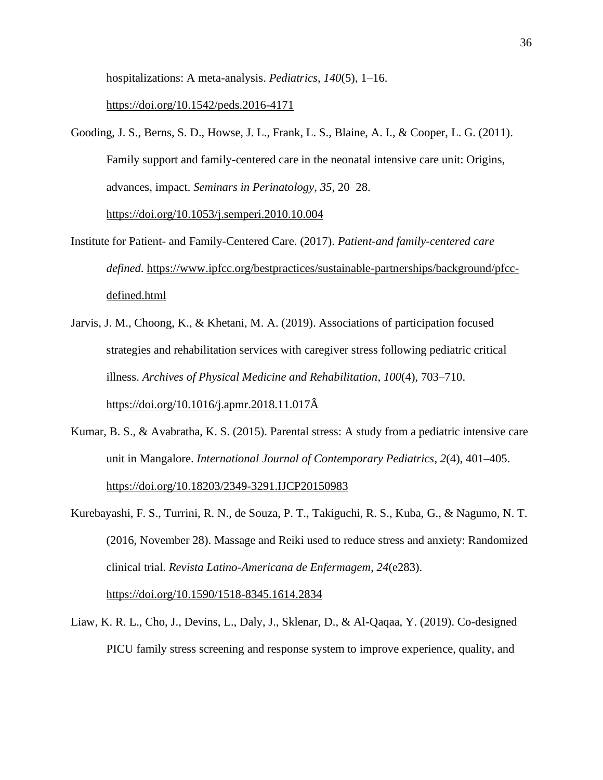hospitalizations: A meta-analysis. *Pediatrics*, *140*(5), 1–16.

#### <https://doi.org/10.1542/peds.2016-4171>

Gooding, J. S., Berns, S. D., Howse, J. L., Frank, L. S., Blaine, A. I., & Cooper, L. G. (2011). Family support and family-centered care in the neonatal intensive care unit: Origins, advances, impact. *Seminars in Perinatology*, *35*, 20–28.

<https://doi.org/10.1053/j.semperi.2010.10.004>

- Institute for Patient- and Family-Centered Care. (2017). *Patient-and family-centered care defined*. [https://www.ipfcc.org/bestpractices/sustainable-partnerships/background/pfcc](https://www.ipfcc.org/bestpractices/sustainable-partnerships/)[defined.html](https://www.ipfcc.org/bestpractices/sustainable-partnerships/)
- Jarvis, J. M., Choong, K., & Khetani, M. A. (2019). Associations of participation focused strategies and rehabilitation services with caregiver stress following pediatric critical illness. *Archives of Physical Medicine and Rehabilitation*, *100*(4), 703–710. [https://doi.org/10.1016/j.apmr.2018.11.017Â](https://doi.org/10.1016/j.apmr.2018.11.017%C3%82)
- Kumar, B. S., & Avabratha, K. S. (2015). Parental stress: A study from a pediatric intensive care unit in Mangalore. *International Journal of Contemporary Pediatrics*, *2*(4), 401–405. <https://doi.org/10.18203/2349-3291.IJCP20150983>
- Kurebayashi, F. S., Turrini, R. N., de Souza, P. T., Takiguchi, R. S., Kuba, G., & Nagumo, N. T. (2016, November 28). Massage and Reiki used to reduce stress and anxiety: Randomized clinical trial. *Revista Latino-Americana de Enfermagem*, *24*(e283). <https://doi.org/10.1590/1518-8345.1614.2834>
- Liaw, K. R. L., Cho, J., Devins, L., Daly, J., Sklenar, D., & Al-Qaqaa, Y. (2019). Co-designed PICU family stress screening and response system to improve experience, quality, and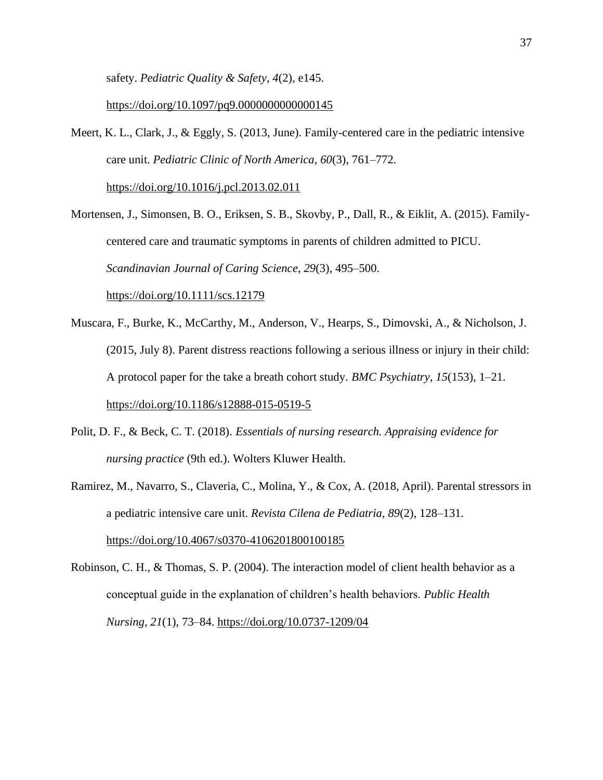safety. *Pediatric Quality & Safety*, *4*(2), e145.

<https://doi.org/10.1097/pq9.0000000000000145>

Meert, K. L., Clark, J., & Eggly, S. (2013, June). Family-centered care in the pediatric intensive care unit. *Pediatric Clinic of North America*, *60*(3), 761–772.

<https://doi.org/10.1016/j.pcl.2013.02.011>

Mortensen, J., Simonsen, B. O., Eriksen, S. B., Skovby, P., Dall, R., & Eiklit, A. (2015). Familycentered care and traumatic symptoms in parents of children admitted to PICU. *Scandinavian Journal of Caring Science*, *29*(3), 495–500.

<https://doi.org/10.1111/scs.12179>

- Muscara, F., Burke, K., McCarthy, M., Anderson, V., Hearps, S., Dimovski, A., & Nicholson, J. (2015, July 8). Parent distress reactions following a serious illness or injury in their child: A protocol paper for the take a breath cohort study. *BMC Psychiatry*, *15*(153), 1–21. <https://doi.org/10.1186/s12888-015-0519-5>
- Polit, D. F., & Beck, C. T. (2018). *Essentials of nursing research. Appraising evidence for nursing practice* (9th ed.). Wolters Kluwer Health.
- Ramirez, M., Navarro, S., Claveria, C., Molina, Y., & Cox, A. (2018, April). Parental stressors in a pediatric intensive care unit. *Revista Cilena de Pediatria*, *89*(2), 128–131.

<https://doi.org/10.4067/s0370-4106201800100185>

Robinson, C. H., & Thomas, S. P. (2004). The interaction model of client health behavior as a conceptual guide in the explanation of children's health behaviors. *Public Health Nursing*, *21*(1), 73–84.<https://doi.org/10.0737-1209/04>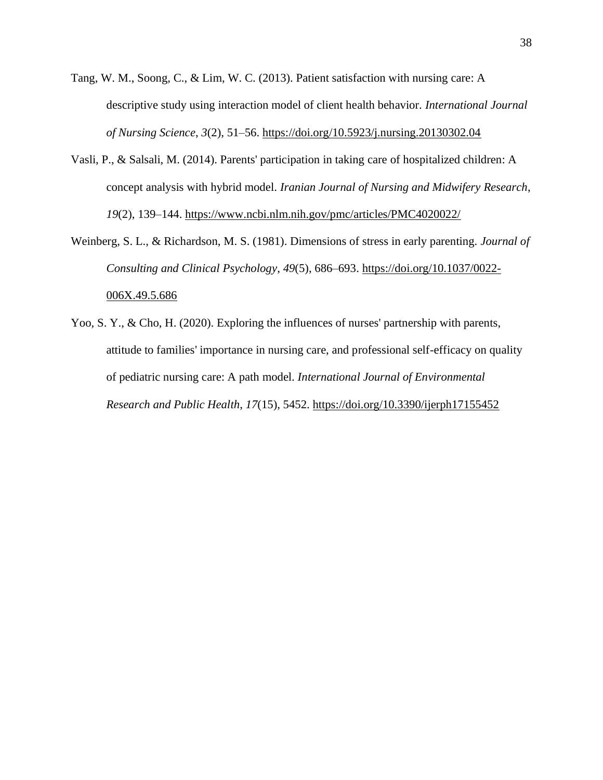- Tang, W. M., Soong, C., & Lim, W. C. (2013). Patient satisfaction with nursing care: A descriptive study using interaction model of client health behavior. *International Journal of Nursing Science*, *3*(2), 51–56.<https://doi.org/10.5923/j.nursing.20130302.04>
- Vasli, P., & Salsali, M. (2014). Parents' participation in taking care of hospitalized children: A concept analysis with hybrid model. *Iranian Journal of Nursing and Midwifery Research*, *19*(2), 139–144.<https://www.ncbi.nlm.nih.gov/pmc/articles/PMC4020022/>
- Weinberg, S. L., & Richardson, M. S. (1981). Dimensions of stress in early parenting. *Journal of Consulting and Clinical Psychology*, *49*(5), 686–693. [https://doi.org/10.1037/0022-](https://doi.org/10.1037/0022-006X.49.5.686) [006X.49.5.686](https://doi.org/10.1037/0022-006X.49.5.686)
- Yoo, S. Y., & Cho, H. (2020). Exploring the influences of nurses' partnership with parents, attitude to families' importance in nursing care, and professional self-efficacy on quality of pediatric nursing care: A path model. *International Journal of Environmental Research and Public Health*, *17*(15), 5452.<https://doi.org/10.3390/ijerph17155452>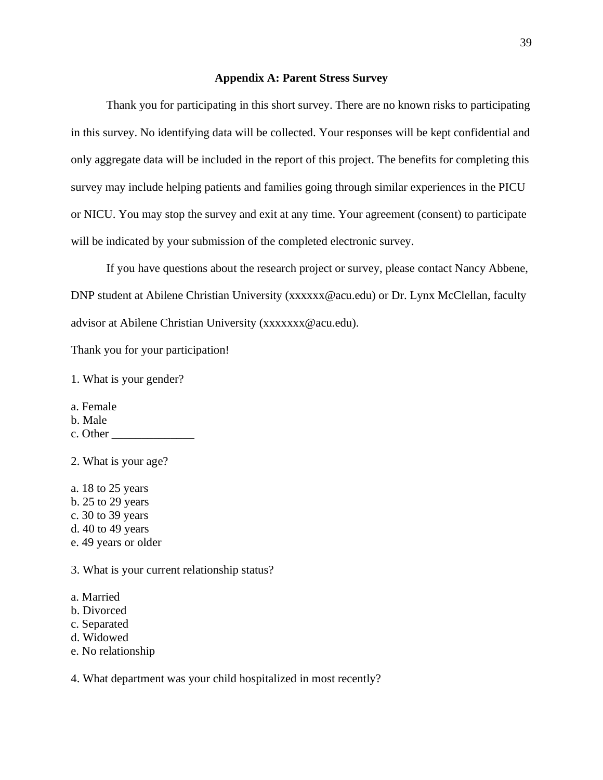## **Appendix A: Parent Stress Survey**

Thank you for participating in this short survey. There are no known risks to participating in this survey. No identifying data will be collected. Your responses will be kept confidential and only aggregate data will be included in the report of this project. The benefits for completing this survey may include helping patients and families going through similar experiences in the PICU or NICU. You may stop the survey and exit at any time. Your agreement (consent) to participate will be indicated by your submission of the completed electronic survey.

If you have questions about the research project or survey, please contact Nancy Abbene, DNP student at Abilene Christian University (xxxxxx@acu.edu) or Dr. Lynx McClellan, faculty advisor at Abilene Christian University (xxxxxxx@acu.edu).

Thank you for your participation!

1. What is your gender?

- a. Female
- b. Male
- c. Other

2. What is your age?

a. 18 to 25 years

- b. 25 to 29 years
- c. 30 to 39 years
- d. 40 to 49 years
- e. 49 years or older

3. What is your current relationship status?

- a. Married
- b. Divorced
- c. Separated
- d. Widowed
- e. No relationship

4. What department was your child hospitalized in most recently?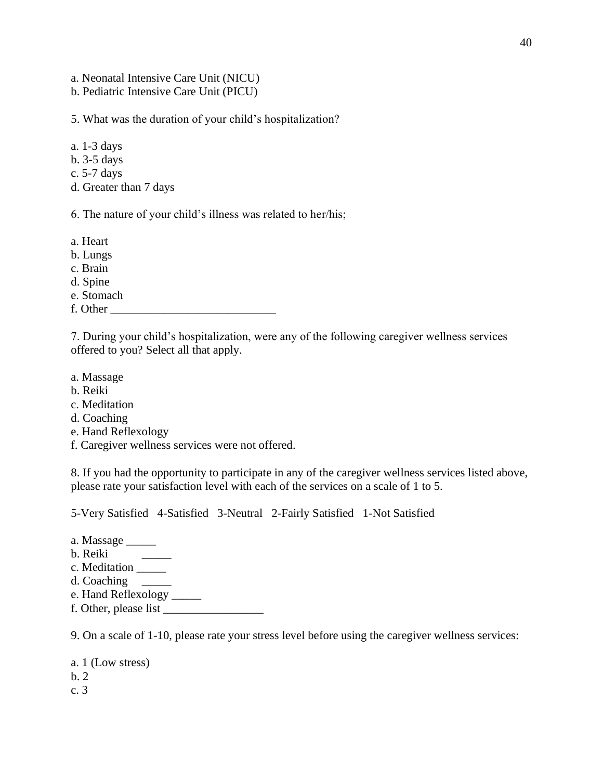a. Neonatal Intensive Care Unit (NICU)

b. Pediatric Intensive Care Unit (PICU)

5. What was the duration of your child's hospitalization?

- a. 1-3 days
- b. 3-5 days
- c. 5-7 days
- d. Greater than 7 days

6. The nature of your child's illness was related to her/his;

a. Heart

- b. Lungs
- c. Brain
- d. Spine
- e. Stomach
- f. Other \_\_\_\_\_\_\_\_\_\_\_\_\_\_\_\_\_\_\_\_\_\_\_\_\_\_\_\_

7. During your child's hospitalization, were any of the following caregiver wellness services offered to you? Select all that apply.

- a. Massage
- b. Reiki
- c. Meditation
- d. Coaching
- e. Hand Reflexology
- f. Caregiver wellness services were not offered.

8. If you had the opportunity to participate in any of the caregiver wellness services listed above, please rate your satisfaction level with each of the services on a scale of 1 to 5.

5-Very Satisfied 4-Satisfied 3-Neutral 2-Fairly Satisfied 1-Not Satisfied

- a. Massage \_\_\_\_\_
- b. Reiki \_\_\_\_\_
- c. Meditation \_\_\_\_\_
- d. Coaching \_\_\_\_\_
- e. Hand Reflexology \_\_\_\_\_
- f. Other, please list \_\_\_\_\_\_\_\_\_\_\_\_\_\_\_\_\_

9. On a scale of 1-10, please rate your stress level before using the caregiver wellness services:

a. 1 (Low stress) b. 2 c. 3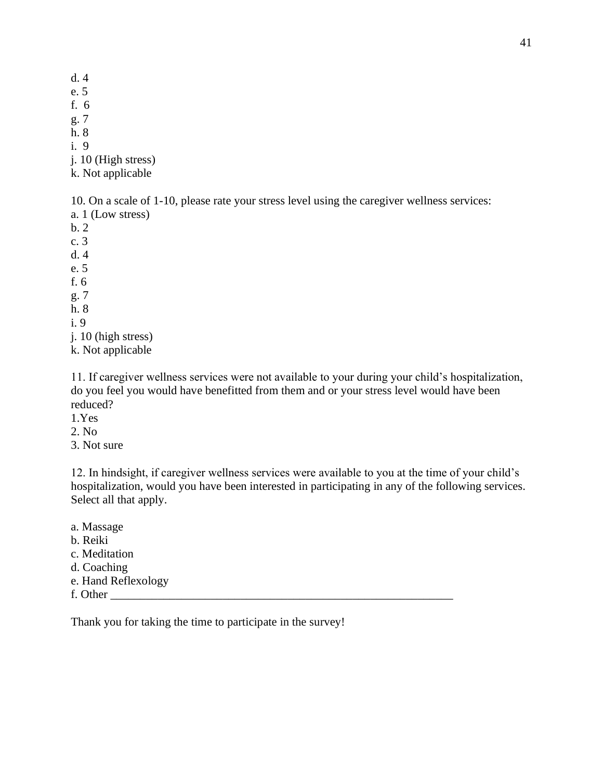- d. 4
- e. 5
- f. 6
- g. 7

h. 8 i. 9

j. 10 (High stress)

k. Not applicable

10. On a scale of 1-10, please rate your stress level using the caregiver wellness services:

a. 1 (Low stress)

b. 2

c. 3

d. 4

e. 5

f. 6

g. 7

h. 8

i. 9

j. 10 (high stress)

k. Not applicable

11. If caregiver wellness services were not available to your during your child's hospitalization, do you feel you would have benefitted from them and or your stress level would have been reduced?

- 1.Yes
- 2. No
- 3. Not sure

12. In hindsight, if caregiver wellness services were available to you at the time of your child's hospitalization, would you have been interested in participating in any of the following services. Select all that apply.

a. Massage

- b. Reiki
- c. Meditation
- d. Coaching
- e. Hand Reflexology
- f. Other

Thank you for taking the time to participate in the survey!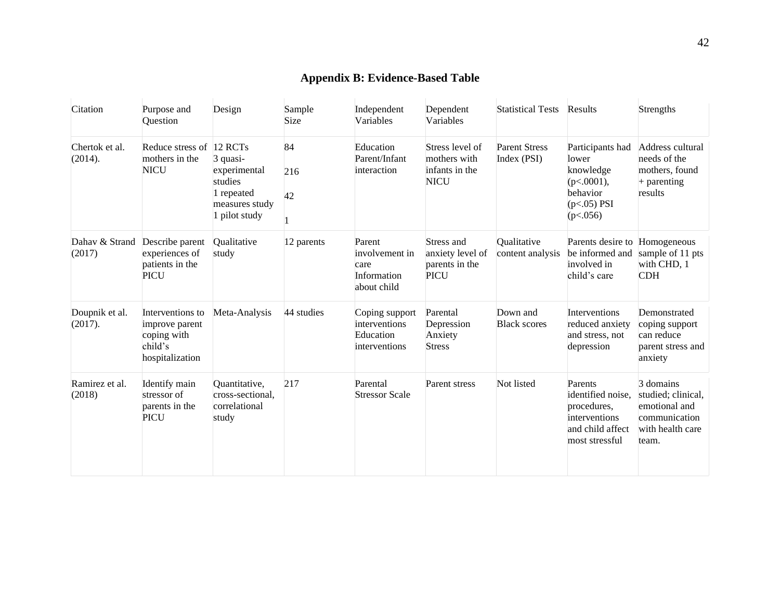## **Appendix B: Evidence-Based Table**

| Citation                  | Purpose and<br>Question                                                         | Design                                                                                          | Sample<br>Size  | Independent<br>Variables                                       | Dependent<br>Variables                                           | <b>Statistical Tests Results</b>    |                                                                                                    | Strengths                                                                                      |
|---------------------------|---------------------------------------------------------------------------------|-------------------------------------------------------------------------------------------------|-----------------|----------------------------------------------------------------|------------------------------------------------------------------|-------------------------------------|----------------------------------------------------------------------------------------------------|------------------------------------------------------------------------------------------------|
| Chertok et al.<br>(2014). | Reduce stress of<br>mothers in the<br><b>NICU</b>                               | 12 RCTs<br>3 quasi-<br>experimental<br>studies<br>1 repeated<br>measures study<br>1 pilot study | 84<br>216<br>42 | Education<br>Parent/Infant<br>interaction                      | Stress level of<br>mothers with<br>infants in the<br><b>NICU</b> | <b>Parent Stress</b><br>Index (PSI) | Participants had<br>lower<br>knowledge<br>$(p<.0001)$ ,<br>behavior<br>$(p<.05)$ PSI<br>(p<.056)   | Address cultural<br>needs of the<br>mothers, found<br>$+$ parenting<br>results                 |
| Dahav & Strand<br>(2017)  | Describe parent<br>experiences of<br>patients in the<br><b>PICU</b>             | Qualitative<br>study                                                                            | 12 parents      | Parent<br>involvement in<br>care<br>Information<br>about child | Stress and<br>anxiety level of<br>parents in the<br><b>PICU</b>  | Qualitative<br>content analysis     | Parents desire to Homogeneous<br>be informed and<br>involved in<br>child's care                    | sample of 11 pts<br>with CHD, 1<br><b>CDH</b>                                                  |
| Doupnik et al.<br>(2017). | Interventions to<br>improve parent<br>coping with<br>child's<br>hospitalization | Meta-Analysis                                                                                   | 44 studies      | Coping support<br>interventions<br>Education<br>interventions  | Parental<br>Depression<br>Anxiety<br><b>Stress</b>               | Down and<br><b>Black scores</b>     | Interventions<br>reduced anxiety<br>and stress, not<br>depression                                  | Demonstrated<br>coping support<br>can reduce<br>parent stress and<br>anxiety                   |
| Ramirez et al.<br>(2018)  | Identify main<br>stressor of<br>parents in the<br><b>PICU</b>                   | Quantitative,<br>cross-sectional,<br>correlational<br>study                                     | 217             | Parental<br><b>Stressor Scale</b>                              | Parent stress                                                    | Not listed                          | Parents<br>identified noise.<br>procedures,<br>interventions<br>and child affect<br>most stressful | 3 domains<br>studied; clinical,<br>emotional and<br>communication<br>with health care<br>team. |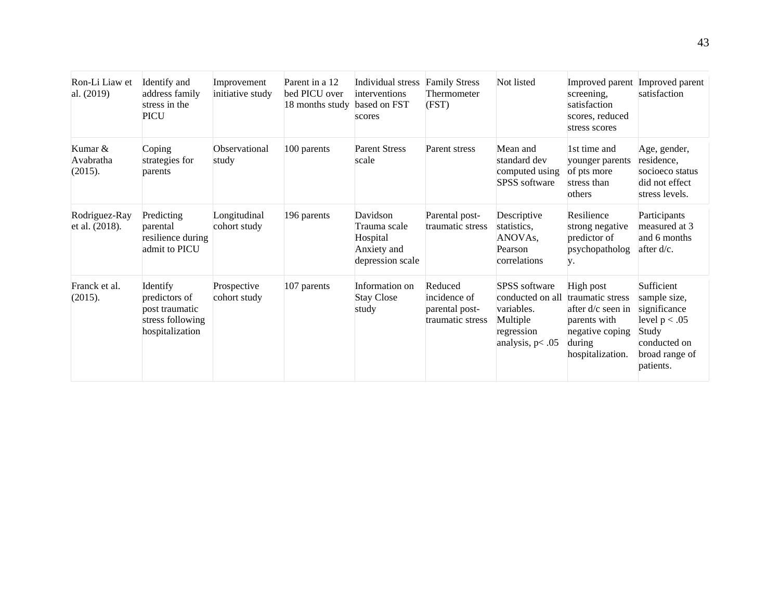| Ron-Li Liaw et<br>al. (2019)    | Identify and<br>address family<br>stress in the<br><b>PICU</b>                     | Improvement<br>initiative study | Parent in a 12<br>bed PICU over<br>18 months study | Individual stress<br>interventions<br>based on FST<br>scores            | <b>Family Stress</b><br>Thermometer<br>(FST)                  | Not listed                                                                                            | screening,<br>satisfaction<br>scores, reduced<br>stress scores                                                        | Improved parent Improved parent<br>satisfaction                                                                       |
|---------------------------------|------------------------------------------------------------------------------------|---------------------------------|----------------------------------------------------|-------------------------------------------------------------------------|---------------------------------------------------------------|-------------------------------------------------------------------------------------------------------|-----------------------------------------------------------------------------------------------------------------------|-----------------------------------------------------------------------------------------------------------------------|
| Kumar &<br>Avabratha<br>(2015). | Coping<br>strategies for<br>parents                                                | Observational<br>study          | 100 parents                                        | <b>Parent Stress</b><br>scale                                           | Parent stress                                                 | Mean and<br>standard dev<br>computed using<br><b>SPSS</b> software                                    | 1st time and<br>younger parents<br>of pts more<br>stress than<br>others                                               | Age, gender,<br>residence,<br>socioeco status<br>did not effect<br>stress levels.                                     |
| Rodriguez-Ray<br>et al. (2018). | Predicting<br>parental<br>resilience during<br>admit to PICU                       | Longitudinal<br>cohort study    | 196 parents                                        | Davidson<br>Trauma scale<br>Hospital<br>Anxiety and<br>depression scale | Parental post-<br>traumatic stress                            | Descriptive<br>statistics,<br>ANOVA <sub>s</sub> ,<br>Pearson<br>correlations                         | Resilience<br>strong negative<br>predictor of<br>psychopatholog<br>y.                                                 | Participants<br>measured at 3<br>and 6 months<br>after d/c.                                                           |
| Franck et al.<br>(2015).        | Identify<br>predictors of<br>post traumatic<br>stress following<br>hospitalization | Prospective<br>cohort study     | 107 parents                                        | Information on<br><b>Stay Close</b><br>study                            | Reduced<br>incidence of<br>parental post-<br>traumatic stress | <b>SPSS</b> software<br>conducted on all<br>variables.<br>Multiple<br>regression<br>analysis, $p<.05$ | High post<br>traumatic stress<br>after $d/c$ seen in<br>parents with<br>negative coping<br>during<br>hospitalization. | Sufficient<br>sample size,<br>significance<br>level $p < .05$<br>Study<br>conducted on<br>broad range of<br>patients. |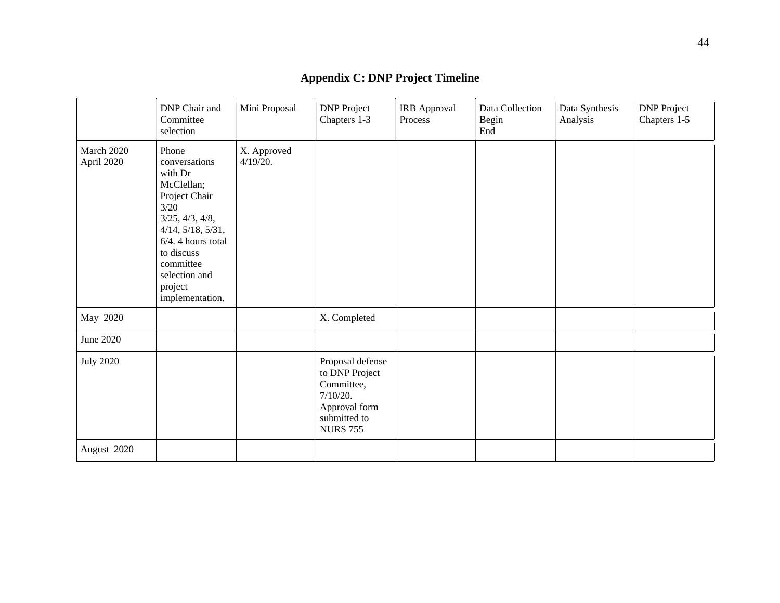|                          | DNP Chair and<br>Committee<br>selection                                                                                                                                                                                  | Mini Proposal           | <b>DNP</b> Project<br>Chapters 1-3                                                                               | IRB Approval<br>Process | Data Collection<br>Begin<br>End | Data Synthesis<br>Analysis | <b>DNP</b> Project<br>Chapters 1-5 |
|--------------------------|--------------------------------------------------------------------------------------------------------------------------------------------------------------------------------------------------------------------------|-------------------------|------------------------------------------------------------------------------------------------------------------|-------------------------|---------------------------------|----------------------------|------------------------------------|
| March 2020<br>April 2020 | Phone<br>conversations<br>with Dr<br>McClellan;<br>Project Chair<br>3/20<br>3/25, 4/3, 4/8,<br>$4/14$ , $5/18$ , $5/31$ ,<br>6/4.4 hours total<br>to discuss<br>committee<br>selection and<br>project<br>implementation. | X. Approved<br>4/19/20. |                                                                                                                  |                         |                                 |                            |                                    |
| May 2020                 |                                                                                                                                                                                                                          |                         | X. Completed                                                                                                     |                         |                                 |                            |                                    |
| June 2020                |                                                                                                                                                                                                                          |                         |                                                                                                                  |                         |                                 |                            |                                    |
| <b>July 2020</b>         |                                                                                                                                                                                                                          |                         | Proposal defense<br>to DNP Project<br>Committee,<br>7/10/20.<br>Approval form<br>submitted to<br><b>NURS 755</b> |                         |                                 |                            |                                    |
| August 2020              |                                                                                                                                                                                                                          |                         |                                                                                                                  |                         |                                 |                            |                                    |

## **Appendix C: DNP Project Timeline**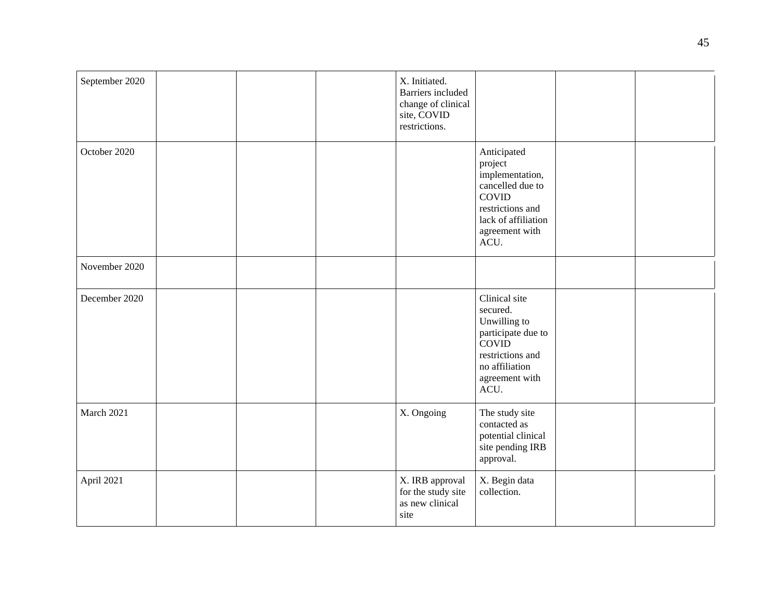| September 2020 |  | X. Initiated.<br>Barriers included<br>change of clinical<br>site, COVID<br>restrictions. |                                                                                                                                                    |  |
|----------------|--|------------------------------------------------------------------------------------------|----------------------------------------------------------------------------------------------------------------------------------------------------|--|
| October 2020   |  |                                                                                          | Anticipated<br>project<br>implementation,<br>cancelled due to<br><b>COVID</b><br>restrictions and<br>lack of affiliation<br>agreement with<br>ACU. |  |
| November 2020  |  |                                                                                          |                                                                                                                                                    |  |
| December 2020  |  |                                                                                          | Clinical site<br>secured.<br>Unwilling to<br>participate due to<br><b>COVID</b><br>restrictions and<br>no affiliation<br>agreement with<br>ACU.    |  |
| March 2021     |  | X. Ongoing                                                                               | The study site<br>contacted as<br>potential clinical<br>site pending IRB<br>approval.                                                              |  |
| April 2021     |  | X. IRB approval<br>for the study site<br>as new clinical<br>site                         | X. Begin data<br>collection.                                                                                                                       |  |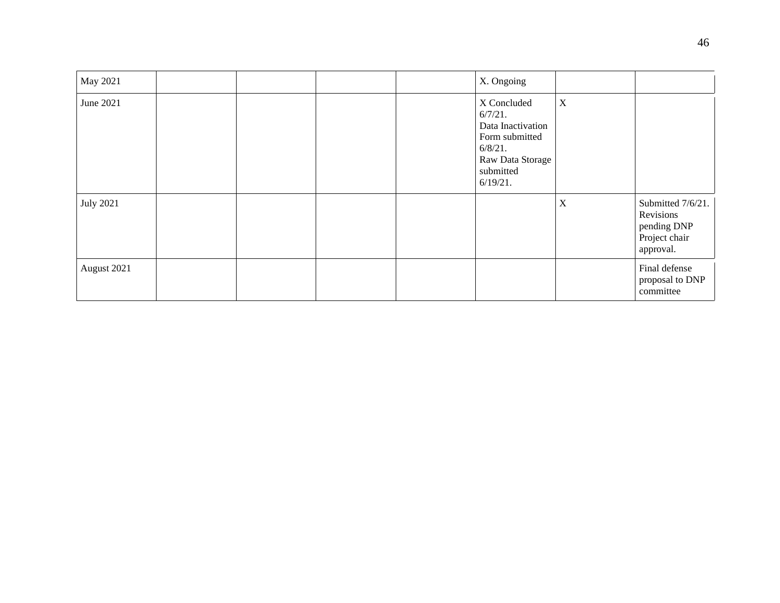| May 2021         |  |  | X. Ongoing                                                                                                                     |             |                                                                             |
|------------------|--|--|--------------------------------------------------------------------------------------------------------------------------------|-------------|-----------------------------------------------------------------------------|
| June 2021        |  |  | X Concluded<br>$6/7/21$ .<br>Data Inactivation<br>Form submitted<br>$6/8/21$ .<br>Raw Data Storage<br>submitted<br>$6/19/21$ . | $\mathbf X$ |                                                                             |
| <b>July 2021</b> |  |  |                                                                                                                                | $\mathbf X$ | Submitted 7/6/21.<br>Revisions<br>pending DNP<br>Project chair<br>approval. |
| August 2021      |  |  |                                                                                                                                |             | Final defense<br>proposal to DNP<br>committee                               |